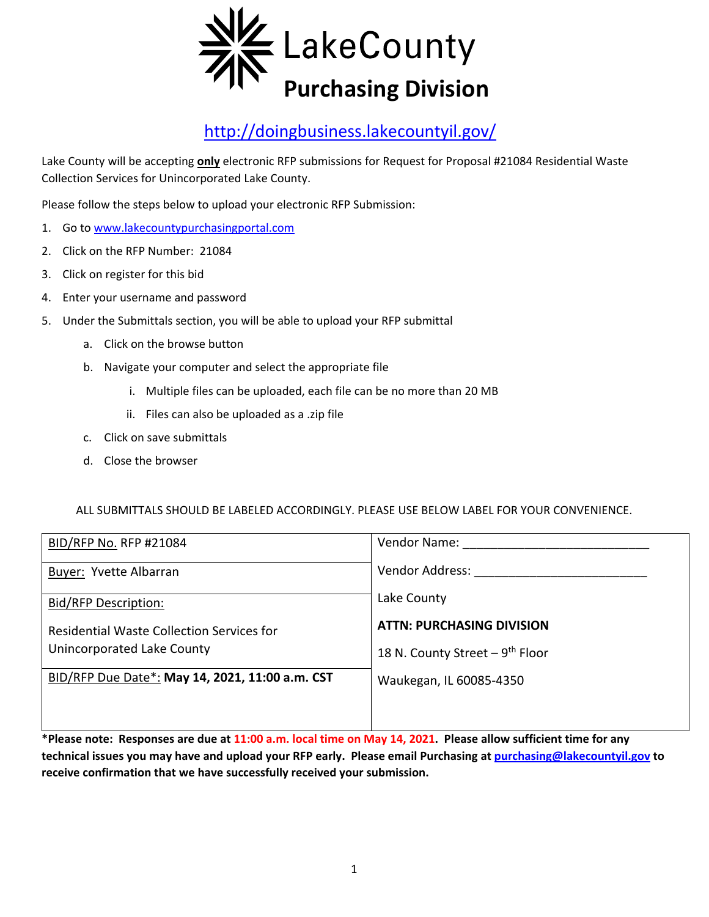

## http://doingbusiness.lakecountyil.gov/

Lake County will be accepting **only** electronic RFP submissions for Request for Proposal #21084 Residential Waste Collection Services for Unincorporated Lake County.

Please follow the steps below to upload your electronic RFP Submission:

- 1. Go to www.lakecountypurchasingportal.com
- 2. Click on the RFP Number: 21084
- 3. Click on register for this bid
- 4. Enter your username and password
- 5. Under the Submittals section, you will be able to upload your RFP submittal
	- a. Click on the browse button
	- b. Navigate your computer and select the appropriate file
		- i. Multiple files can be uploaded, each file can be no more than 20 MB
		- ii. Files can also be uploaded as a .zip file
	- c. Click on save submittals
	- d. Close the browser

ALL SUBMITTALS SHOULD BE LABELED ACCORDINGLY. PLEASE USE BELOW LABEL FOR YOUR CONVENIENCE.

| BID/RFP No. RFP #21084                          | Vendor Name:                                 |
|-------------------------------------------------|----------------------------------------------|
| Buyer: Yvette Albarran                          | Vendor Address:                              |
| <b>Bid/RFP Description:</b>                     | Lake County                                  |
| Residential Waste Collection Services for       | <b>ATTN: PURCHASING DIVISION</b>             |
| Unincorporated Lake County                      | 18 N. County Street $-9$ <sup>th</sup> Floor |
| BID/RFP Due Date*: May 14, 2021, 11:00 a.m. CST | Waukegan, IL 60085-4350                      |
|                                                 |                                              |
|                                                 |                                              |

**\*Please note: Responses are due at 11:00 a.m. local time on May 14, 2021. Please allow sufficient time for any technical issues you may have and upload your RFP early. Please email Purchasing at purchasing@lakecountyil.gov to receive confirmation that we have successfully received your submission.**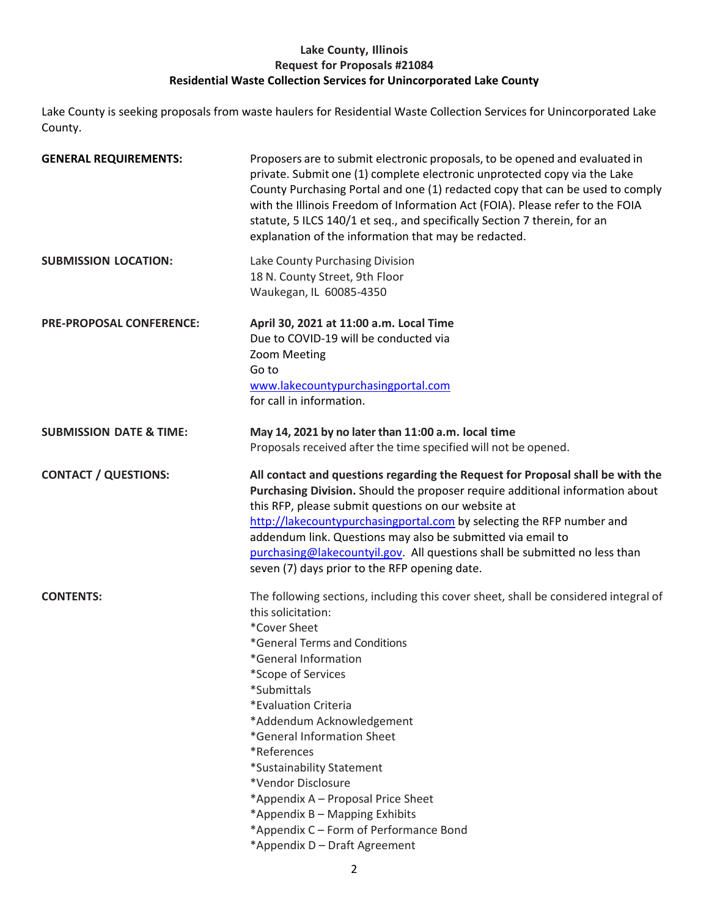#### **Lake County, Illinois Request for Proposals #21084 Residential Waste Collection Services for Unincorporated Lake County**

Lake County is seeking proposals from waste haulers for Residential Waste Collection Services for Unincorporated Lake County.

| <b>GENERAL REQUIREMENTS:</b>       | Proposers are to submit electronic proposals, to be opened and evaluated in<br>private. Submit one (1) complete electronic unprotected copy via the Lake<br>County Purchasing Portal and one (1) redacted copy that can be used to comply<br>with the Illinois Freedom of Information Act (FOIA). Please refer to the FOIA<br>statute, 5 ILCS 140/1 et seq., and specifically Section 7 therein, for an<br>explanation of the information that may be redacted.                                                                 |
|------------------------------------|---------------------------------------------------------------------------------------------------------------------------------------------------------------------------------------------------------------------------------------------------------------------------------------------------------------------------------------------------------------------------------------------------------------------------------------------------------------------------------------------------------------------------------|
| <b>SUBMISSION LOCATION:</b>        | Lake County Purchasing Division<br>18 N. County Street, 9th Floor<br>Waukegan, IL 60085-4350                                                                                                                                                                                                                                                                                                                                                                                                                                    |
| <b>PRE-PROPOSAL CONFERENCE:</b>    | April 30, 2021 at 11:00 a.m. Local Time<br>Due to COVID-19 will be conducted via<br>Zoom Meeting<br>Go to<br>www.lakecountypurchasingportal.com<br>for call in information.                                                                                                                                                                                                                                                                                                                                                     |
| <b>SUBMISSION DATE &amp; TIME:</b> | May 14, 2021 by no later than 11:00 a.m. local time<br>Proposals received after the time specified will not be opened.                                                                                                                                                                                                                                                                                                                                                                                                          |
| <b>CONTACT / QUESTIONS:</b>        | All contact and questions regarding the Request for Proposal shall be with the<br>Purchasing Division. Should the proposer require additional information about<br>this RFP, please submit questions on our website at<br>http://lakecountypurchasingportal.com by selecting the RFP number and<br>addendum link. Questions may also be submitted via email to<br>purchasing@lakecountyil.gov. All questions shall be submitted no less than<br>seven (7) days prior to the RFP opening date.                                   |
| <b>CONTENTS:</b>                   | The following sections, including this cover sheet, shall be considered integral of<br>this solicitation:<br>*Cover Sheet<br>*General Terms and Conditions<br>*General Information<br>*Scope of Services<br>*Submittals<br>*Evaluation Criteria<br>*Addendum Acknowledgement<br>*General Information Sheet<br>*References<br>*Sustainability Statement<br>*Vendor Disclosure<br>*Appendix A - Proposal Price Sheet<br>*Appendix B - Mapping Exhibits<br>*Appendix C - Form of Performance Bond<br>*Appendix D - Draft Agreement |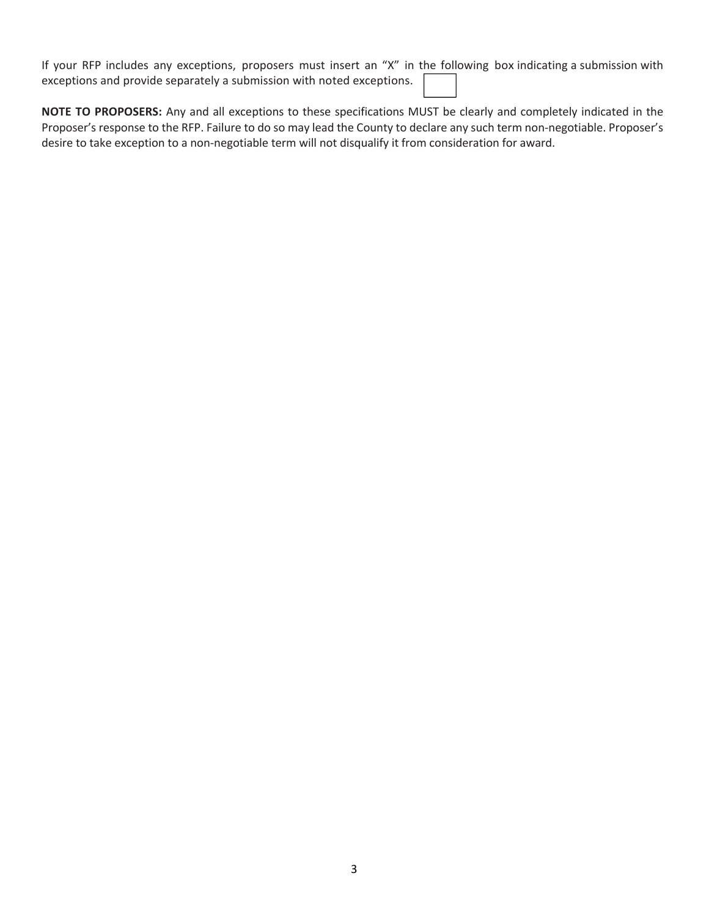If your RFP includes any exceptions, proposers must insert an "X" in the following box indicating a submission with exceptions and provide separately a submission with noted exceptions.

**NOTE TO PROPOSERS:** Any and all exceptions to these specifications MUST be clearly and completely indicated in the Proposer's response to the RFP. Failure to do so may lead the County to declare any such term non‐negotiable. Proposer's desire to take exception to a non‐negotiable term will not disqualify it from consideration for award.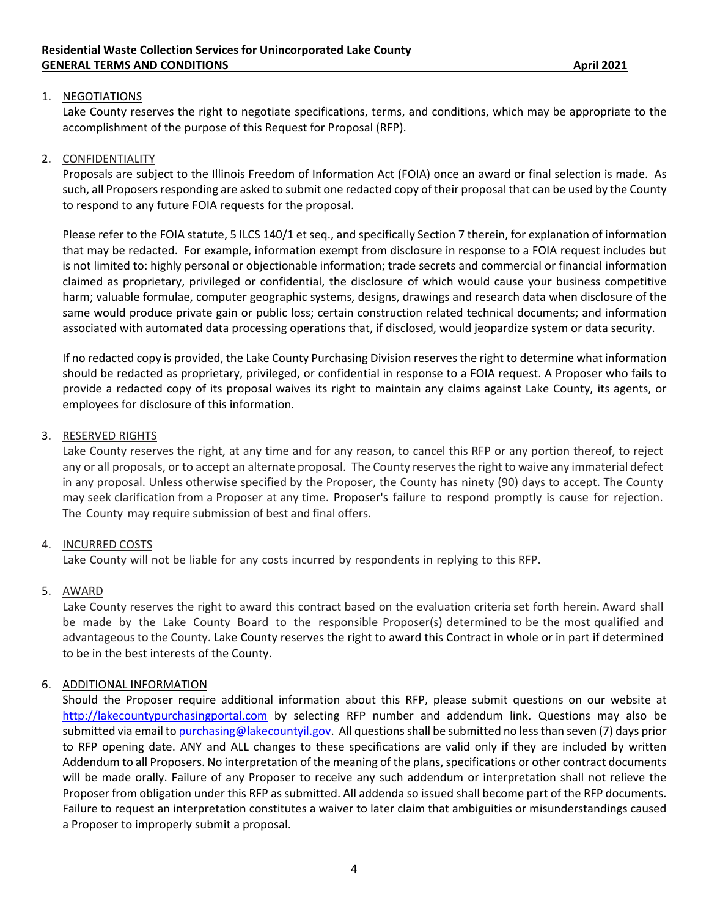#### 1. NEGOTIATIONS

Lake County reserves the right to negotiate specifications, terms, and conditions, which may be appropriate to the accomplishment of the purpose of this Request for Proposal (RFP).

#### 2. CONFIDENTIALITY

Proposals are subject to the Illinois Freedom of Information Act (FOIA) once an award or final selection is made. As such, all Proposers responding are asked to submit one redacted copy of their proposal that can be used by the County to respond to any future FOIA requests for the proposal.

Please refer to the FOIA statute, 5 ILCS 140/1 et seq., and specifically Section 7 therein, for explanation of information that may be redacted. For example, information exempt from disclosure in response to a FOIA request includes but is not limited to: highly personal or objectionable information; trade secrets and commercial or financial information claimed as proprietary, privileged or confidential, the disclosure of which would cause your business competitive harm; valuable formulae, computer geographic systems, designs, drawings and research data when disclosure of the same would produce private gain or public loss; certain construction related technical documents; and information associated with automated data processing operations that, if disclosed, would jeopardize system or data security.

If no redacted copy is provided, the Lake County Purchasing Division reserves the right to determine what information should be redacted as proprietary, privileged, or confidential in response to a FOIA request. A Proposer who fails to provide a redacted copy of its proposal waives its right to maintain any claims against Lake County, its agents, or employees for disclosure of this information.

#### 3. RESERVED RIGHTS

Lake County reserves the right, at any time and for any reason, to cancel this RFP or any portion thereof, to reject any or all proposals, or to accept an alternate proposal. The County reserves the right to waive any immaterial defect in any proposal. Unless otherwise specified by the Proposer, the County has ninety (90) days to accept. The County may seek clarification from a Proposer at any time. Proposer's failure to respond promptly is cause for rejection. The County may require submission of best and final offers.

#### 4. INCURRED COSTS

Lake County will not be liable for any costs incurred by respondents in replying to this RFP.

#### 5. AWARD

Lake County reserves the right to award this contract based on the evaluation criteria set forth herein. Award shall be made by the Lake County Board to the responsible Proposer(s) determined to be the most qualified and advantageous to the County. Lake County reserves the right to award this Contract in whole or in part if determined to be in the best interests of the County.

#### 6. ADDITIONAL INFORMATION

Should the Proposer require additional information about this RFP, please submit questions on our website at http://lakecountypurchasingportal.com by selecting RFP number and addendum link. Questions may also be submitted via email to purchasing@lakecountyil.gov. All questions shall be submitted no less than seven (7) days prior to RFP opening date. ANY and ALL changes to these specifications are valid only if they are included by written Addendum to all Proposers. No interpretation of the meaning of the plans, specifications or other contract documents will be made orally. Failure of any Proposer to receive any such addendum or interpretation shall not relieve the Proposer from obligation under this RFP as submitted. All addenda so issued shall become part of the RFP documents. Failure to request an interpretation constitutes a waiver to later claim that ambiguities or misunderstandings caused a Proposer to improperly submit a proposal.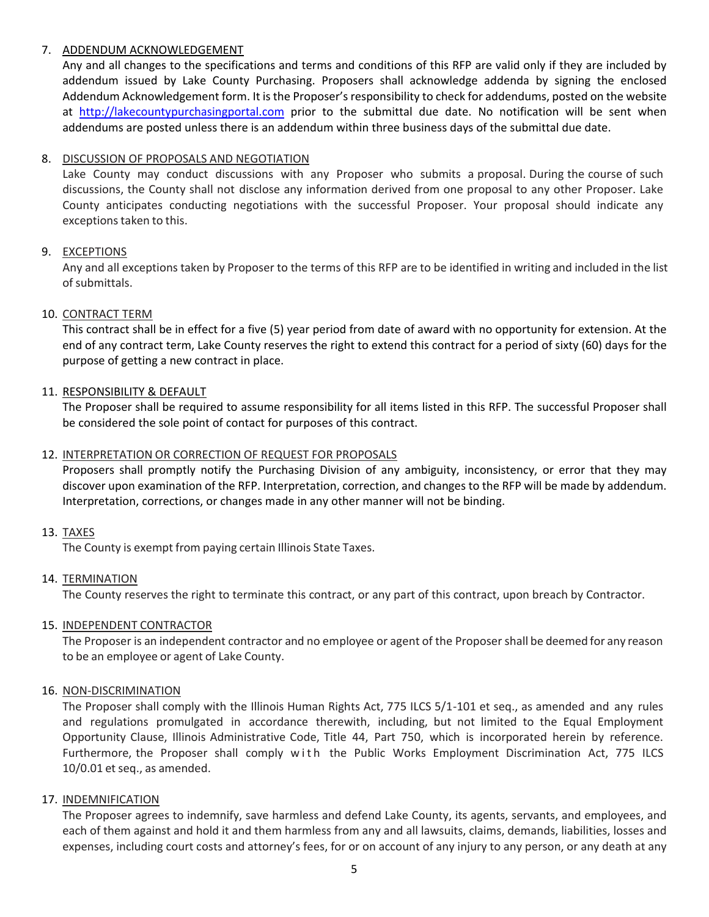#### 7. ADDENDUM ACKNOWLEDGEMENT

Any and all changes to the specifications and terms and conditions of this RFP are valid only if they are included by addendum issued by Lake County Purchasing. Proposers shall acknowledge addenda by signing the enclosed Addendum Acknowledgement form. It is the Proposer's responsibility to check for addendums, posted on the website at http://lakecountypurchasingportal.com prior to the submittal due date. No notification will be sent when addendums are posted unless there is an addendum within three business days of the submittal due date.

#### 8. DISCUSSION OF PROPOSALS AND NEGOTIATION

Lake County may conduct discussions with any Proposer who submits a proposal. During the course of such discussions, the County shall not disclose any information derived from one proposal to any other Proposer. Lake County anticipates conducting negotiations with the successful Proposer. Your proposal should indicate any exceptions taken to this.

#### 9. EXCEPTIONS

Any and all exceptions taken by Proposer to the terms of this RFP are to be identified in writing and included in the list of submittals.

#### 10. CONTRACT TERM

This contract shall be in effect for a five (5) year period from date of award with no opportunity for extension. At the end of any contract term, Lake County reserves the right to extend this contract for a period of sixty (60) days for the purpose of getting a new contract in place.

#### 11. RESPONSIBILITY & DEFAULT

The Proposer shall be required to assume responsibility for all items listed in this RFP. The successful Proposer shall be considered the sole point of contact for purposes of this contract.

#### 12. INTERPRETATION OR CORRECTION OF REQUEST FOR PROPOSALS

Proposers shall promptly notify the Purchasing Division of any ambiguity, inconsistency, or error that they may discover upon examination of the RFP. Interpretation, correction, and changes to the RFP will be made by addendum. Interpretation, corrections, or changes made in any other manner will not be binding.

#### 13. TAXES

The County is exempt from paying certain Illinois State Taxes.

#### 14. TERMINATION

The County reserves the right to terminate this contract, or any part of this contract, upon breach by Contractor.

#### 15. INDEPENDENT CONTRACTOR

The Proposer is an independent contractor and no employee or agent of the Proposer shall be deemed for any reason to be an employee or agent of Lake County.

#### 16. NON‐DISCRIMINATION

The Proposer shall comply with the Illinois Human Rights Act, 775 ILCS 5/1‐101 et seq., as amended and any rules and regulations promulgated in accordance therewith, including, but not limited to the Equal Employment Opportunity Clause, Illinois Administrative Code, Title 44, Part 750, which is incorporated herein by reference. Furthermore, the Proposer shall comply with the Public Works Employment Discrimination Act, 775 ILCS 10/0.01 et seq., as amended.

#### 17. INDEMNIFICATION

The Proposer agrees to indemnify, save harmless and defend Lake County, its agents, servants, and employees, and each of them against and hold it and them harmless from any and all lawsuits, claims, demands, liabilities, losses and expenses, including court costs and attorney's fees, for or on account of any injury to any person, or any death at any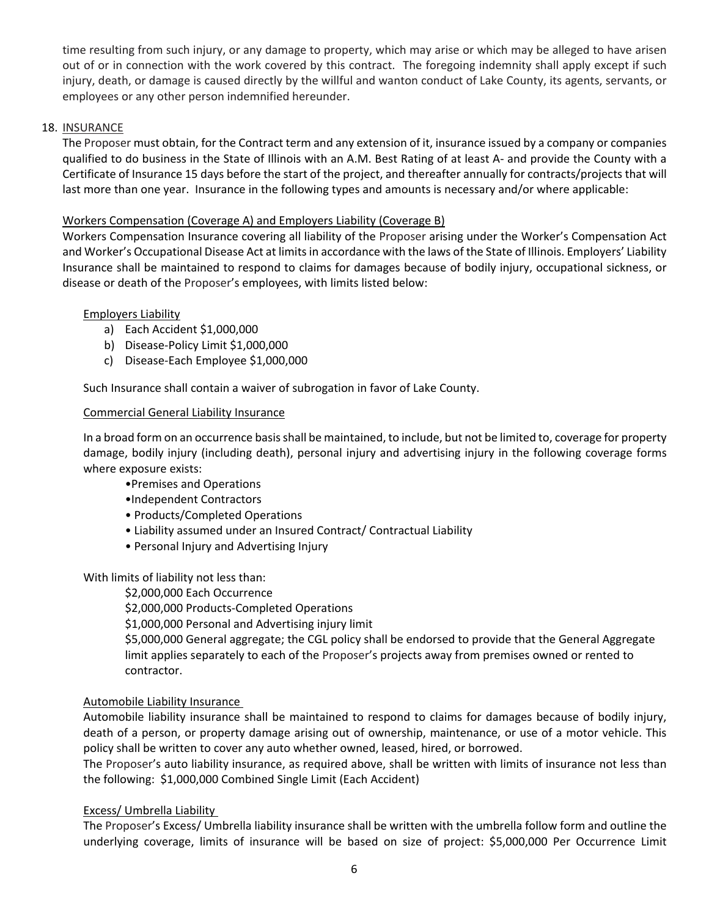time resulting from such injury, or any damage to property, which may arise or which may be alleged to have arisen out of or in connection with the work covered by this contract. The foregoing indemnity shall apply except if such injury, death, or damage is caused directly by the willful and wanton conduct of Lake County, its agents, servants, or employees or any other person indemnified hereunder.

#### 18. INSURANCE

The Proposer must obtain, for the Contract term and any extension of it, insurance issued by a company or companies qualified to do business in the State of Illinois with an A.M. Best Rating of at least A‐ and provide the County with a Certificate of Insurance 15 days before the start of the project, and thereafter annually for contracts/projects that will last more than one year. Insurance in the following types and amounts is necessary and/or where applicable:

#### Workers Compensation (Coverage A) and Employers Liability (Coverage B)

Workers Compensation Insurance covering all liability of the Proposer arising under the Worker's Compensation Act and Worker's Occupational Disease Act at limits in accordance with the laws of the State of Illinois. Employers' Liability Insurance shall be maintained to respond to claims for damages because of bodily injury, occupational sickness, or disease or death of the Proposer's employees, with limits listed below:

#### Employers Liability

- a) Each Accident \$1,000,000
- b) Disease‐Policy Limit \$1,000,000
- c) Disease‐Each Employee \$1,000,000

Such Insurance shall contain a waiver of subrogation in favor of Lake County.

#### Commercial General Liability Insurance

In a broad form on an occurrence basis shall be maintained, to include, but not be limited to, coverage for property damage, bodily injury (including death), personal injury and advertising injury in the following coverage forms where exposure exists:

- •Premises and Operations
- •Independent Contractors
- Products/Completed Operations
- Liability assumed under an Insured Contract/ Contractual Liability
- Personal Injury and Advertising Injury

With limits of liability not less than:

\$2,000,000 Each Occurrence

\$2,000,000 Products‐Completed Operations

\$1,000,000 Personal and Advertising injury limit

\$5,000,000 General aggregate; the CGL policy shall be endorsed to provide that the General Aggregate limit applies separately to each of the Proposer's projects away from premises owned or rented to contractor.

#### Automobile Liability Insurance

Automobile liability insurance shall be maintained to respond to claims for damages because of bodily injury, death of a person, or property damage arising out of ownership, maintenance, or use of a motor vehicle. This policy shall be written to cover any auto whether owned, leased, hired, or borrowed.

The Proposer's auto liability insurance, as required above, shall be written with limits of insurance not less than the following: \$1,000,000 Combined Single Limit (Each Accident)

#### Excess/ Umbrella Liability

The Proposer's Excess/ Umbrella liability insurance shall be written with the umbrella follow form and outline the underlying coverage, limits of insurance will be based on size of project: \$5,000,000 Per Occurrence Limit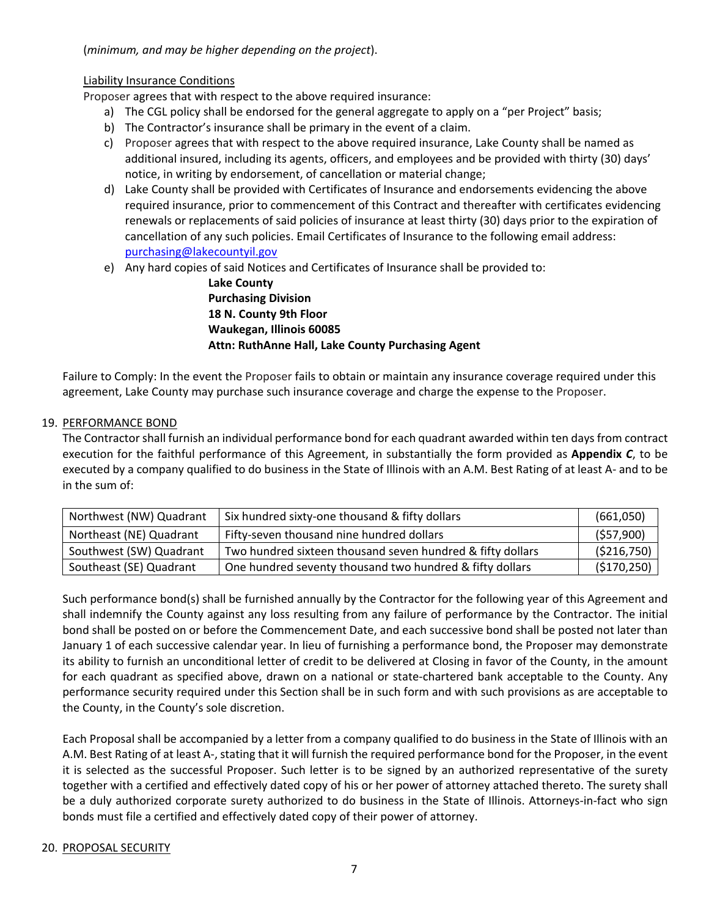(*minimum, and may be higher depending on the project*).

#### Liability Insurance Conditions

Proposer agrees that with respect to the above required insurance:

- a) The CGL policy shall be endorsed for the general aggregate to apply on a "per Project" basis;
- b) The Contractor's insurance shall be primary in the event of a claim.
- c) Proposer agrees that with respect to the above required insurance, Lake County shall be named as additional insured, including its agents, officers, and employees and be provided with thirty (30) days' notice, in writing by endorsement, of cancellation or material change;
- d) Lake County shall be provided with Certificates of Insurance and endorsements evidencing the above required insurance, prior to commencement of this Contract and thereafter with certificates evidencing renewals or replacements of said policies of insurance at least thirty (30) days prior to the expiration of cancellation of any such policies. Email Certificates of Insurance to the following email address: purchasing@lakecountyil.gov
- e) Any hard copies of said Notices and Certificates of Insurance shall be provided to:

**Lake County Purchasing Division 18 N. County 9th Floor Waukegan, Illinois 60085 Attn: RuthAnne Hall, Lake County Purchasing Agent**

Failure to Comply: In the event the Proposer fails to obtain or maintain any insurance coverage required under this agreement, Lake County may purchase such insurance coverage and charge the expense to the Proposer.

#### 19. PERFORMANCE BOND

The Contractor shall furnish an individual performance bond for each quadrant awarded within ten days from contract execution for the faithful performance of this Agreement, in substantially the form provided as **Appendix** *C*, to be executed by a company qualified to do business in the State of Illinois with an A.M. Best Rating of at least A‐ and to be in the sum of:

| Northwest (NW) Quadrant | Six hundred sixty-one thousand & fifty dollars             | (661,050)    |
|-------------------------|------------------------------------------------------------|--------------|
| Northeast (NE) Quadrant | Fifty-seven thousand nine hundred dollars                  | (557,900)    |
| Southwest (SW) Quadrant | Two hundred sixteen thousand seven hundred & fifty dollars | ( \$216,750) |
| Southeast (SE) Quadrant | One hundred seventy thousand two hundred & fifty dollars   | (\$170,250)  |

Such performance bond(s) shall be furnished annually by the Contractor for the following year of this Agreement and shall indemnify the County against any loss resulting from any failure of performance by the Contractor. The initial bond shall be posted on or before the Commencement Date, and each successive bond shall be posted not later than January 1 of each successive calendar year. In lieu of furnishing a performance bond, the Proposer may demonstrate its ability to furnish an unconditional letter of credit to be delivered at Closing in favor of the County, in the amount for each quadrant as specified above, drawn on a national or state-chartered bank acceptable to the County. Any performance security required under this Section shall be in such form and with such provisions as are acceptable to the County, in the County's sole discretion.

Each Proposal shall be accompanied by a letter from a company qualified to do business in the State of Illinois with an A.M. Best Rating of at least A‐, stating that it will furnish the required performance bond for the Proposer, in the event it is selected as the successful Proposer. Such letter is to be signed by an authorized representative of the surety together with a certified and effectively dated copy of his or her power of attorney attached thereto. The surety shall be a duly authorized corporate surety authorized to do business in the State of Illinois. Attorneys-in-fact who sign bonds must file a certified and effectively dated copy of their power of attorney.

#### 20. PROPOSAL SECURITY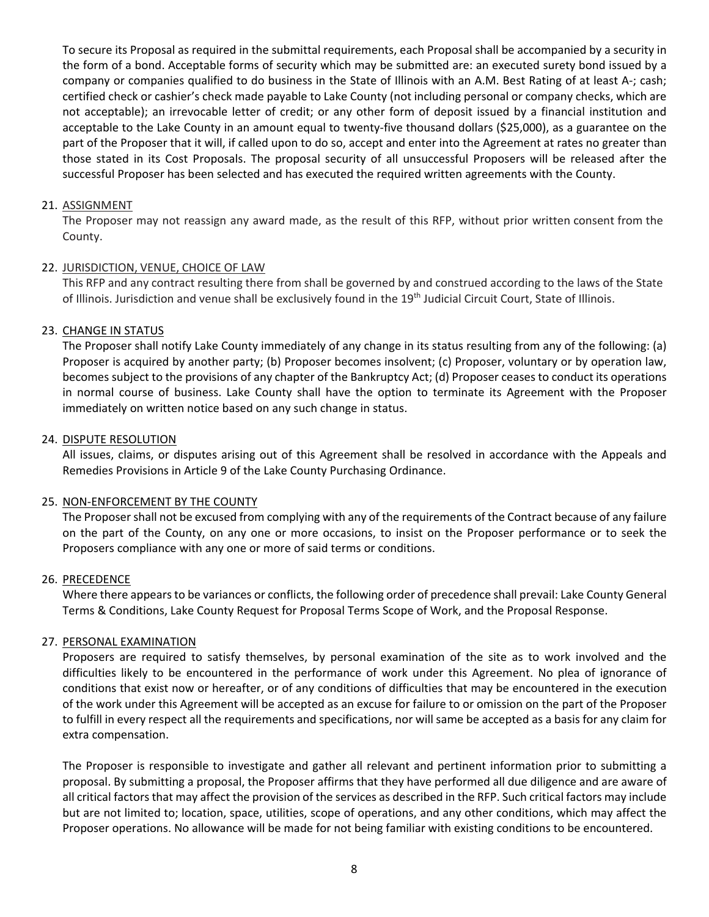To secure its Proposal as required in the submittal requirements, each Proposal shall be accompanied by a security in the form of a bond. Acceptable forms of security which may be submitted are: an executed surety bond issued by a company or companies qualified to do business in the State of Illinois with an A.M. Best Rating of at least A‐; cash; certified check or cashier's check made payable to Lake County (not including personal or company checks, which are not acceptable); an irrevocable letter of credit; or any other form of deposit issued by a financial institution and acceptable to the Lake County in an amount equal to twenty‐five thousand dollars (\$25,000), as a guarantee on the part of the Proposer that it will, if called upon to do so, accept and enter into the Agreement at rates no greater than those stated in its Cost Proposals. The proposal security of all unsuccessful Proposers will be released after the successful Proposer has been selected and has executed the required written agreements with the County.

#### 21. ASSIGNMENT

The Proposer may not reassign any award made, as the result of this RFP, without prior written consent from the County.

#### 22. JURISDICTION, VENUE, CHOICE OF LAW

This RFP and any contract resulting there from shall be governed by and construed according to the laws of the State of Illinois. Jurisdiction and venue shall be exclusively found in the 19<sup>th</sup> Judicial Circuit Court, State of Illinois.

#### 23. CHANGE IN STATUS

The Proposer shall notify Lake County immediately of any change in its status resulting from any of the following: (a) Proposer is acquired by another party; (b) Proposer becomes insolvent; (c) Proposer, voluntary or by operation law, becomes subject to the provisions of any chapter of the Bankruptcy Act; (d) Proposer ceases to conduct its operations in normal course of business. Lake County shall have the option to terminate its Agreement with the Proposer immediately on written notice based on any such change in status.

#### 24. DISPUTE RESOLUTION

All issues, claims, or disputes arising out of this Agreement shall be resolved in accordance with the Appeals and Remedies Provisions in Article 9 of the Lake County Purchasing Ordinance.

#### 25. NON‐ENFORCEMENT BY THE COUNTY

The Proposer shall not be excused from complying with any of the requirements of the Contract because of any failure on the part of the County, on any one or more occasions, to insist on the Proposer performance or to seek the Proposers compliance with any one or more of said terms or conditions.

#### 26. PRECEDENCE

Where there appears to be variances or conflicts, the following order of precedence shall prevail: Lake County General Terms & Conditions, Lake County Request for Proposal Terms Scope of Work, and the Proposal Response.

#### 27. PERSONAL EXAMINATION

Proposers are required to satisfy themselves, by personal examination of the site as to work involved and the difficulties likely to be encountered in the performance of work under this Agreement. No plea of ignorance of conditions that exist now or hereafter, or of any conditions of difficulties that may be encountered in the execution of the work under this Agreement will be accepted as an excuse for failure to or omission on the part of the Proposer to fulfill in every respect all the requirements and specifications, nor will same be accepted as a basis for any claim for extra compensation.

The Proposer is responsible to investigate and gather all relevant and pertinent information prior to submitting a proposal. By submitting a proposal, the Proposer affirms that they have performed all due diligence and are aware of all critical factors that may affect the provision of the services as described in the RFP. Such critical factors may include but are not limited to; location, space, utilities, scope of operations, and any other conditions, which may affect the Proposer operations. No allowance will be made for not being familiar with existing conditions to be encountered.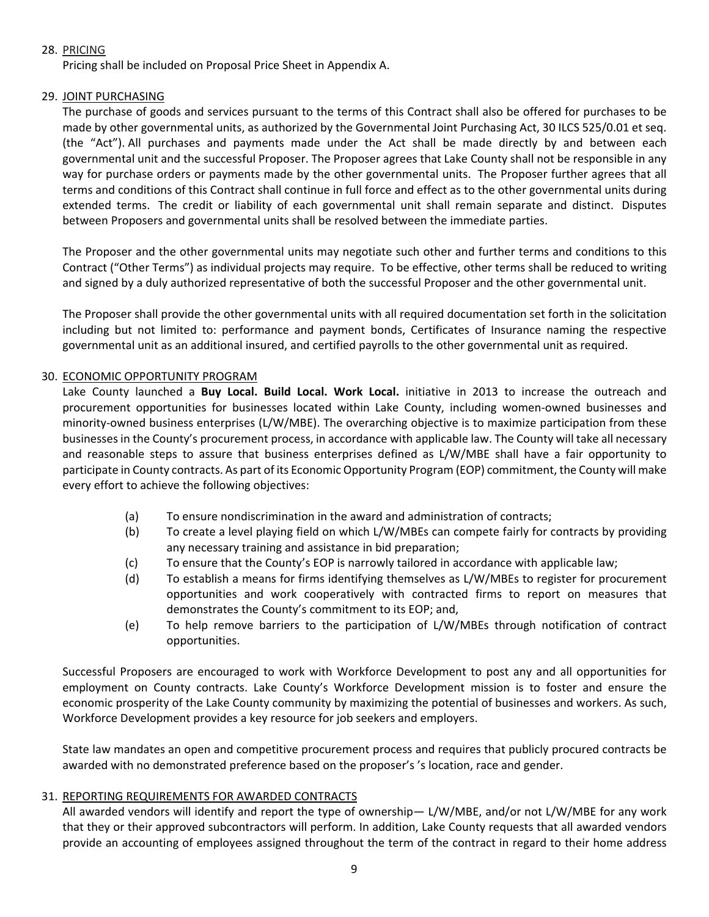#### 28. PRICING

Pricing shall be included on Proposal Price Sheet in Appendix A.

#### 29. JOINT PURCHASING

The purchase of goods and services pursuant to the terms of this Contract shall also be offered for purchases to be made by other governmental units, as authorized by the Governmental Joint Purchasing Act, 30 ILCS 525/0.01 et seq. (the "Act"). All purchases and payments made under the Act shall be made directly by and between each governmental unit and the successful Proposer. The Proposer agrees that Lake County shall not be responsible in any way for purchase orders or payments made by the other governmental units. The Proposer further agrees that all terms and conditions of this Contract shall continue in full force and effect as to the other governmental units during extended terms. The credit or liability of each governmental unit shall remain separate and distinct. Disputes between Proposers and governmental units shall be resolved between the immediate parties.

The Proposer and the other governmental units may negotiate such other and further terms and conditions to this Contract ("Other Terms") as individual projects may require. To be effective, other terms shall be reduced to writing and signed by a duly authorized representative of both the successful Proposer and the other governmental unit.

The Proposer shall provide the other governmental units with all required documentation set forth in the solicitation including but not limited to: performance and payment bonds, Certificates of Insurance naming the respective governmental unit as an additional insured, and certified payrolls to the other governmental unit as required.

#### 30. ECONOMIC OPPORTUNITY PROGRAM

Lake County launched a Buy Local. Build Local. Work Local. initiative in 2013 to increase the outreach and procurement opportunities for businesses located within Lake County, including women-owned businesses and minority-owned business enterprises (L/W/MBE). The overarching objective is to maximize participation from these businesses in the County's procurement process, in accordance with applicable law. The County will take all necessary and reasonable steps to assure that business enterprises defined as L/W/MBE shall have a fair opportunity to participate in County contracts. As part of its Economic Opportunity Program (EOP) commitment, the County will make every effort to achieve the following objectives:

- (a) To ensure nondiscrimination in the award and administration of contracts;
- (b) To create a level playing field on which L/W/MBEs can compete fairly for contracts by providing any necessary training and assistance in bid preparation;
- (c) To ensure that the County's EOP is narrowly tailored in accordance with applicable law;
- (d) To establish a means for firms identifying themselves as L/W/MBEs to register for procurement opportunities and work cooperatively with contracted firms to report on measures that demonstrates the County's commitment to its EOP; and,
- (e) To help remove barriers to the participation of L/W/MBEs through notification of contract opportunities.

Successful Proposers are encouraged to work with Workforce Development to post any and all opportunities for employment on County contracts. Lake County's Workforce Development mission is to foster and ensure the economic prosperity of the Lake County community by maximizing the potential of businesses and workers. As such, Workforce Development provides a key resource for job seekers and employers.

State law mandates an open and competitive procurement process and requires that publicly procured contracts be awarded with no demonstrated preference based on the proposer's 's location, race and gender.

#### 31. REPORTING REQUIREMENTS FOR AWARDED CONTRACTS

All awarded vendors will identify and report the type of ownership— L/W/MBE, and/or not L/W/MBE for any work that they or their approved subcontractors will perform. In addition, Lake County requests that all awarded vendors provide an accounting of employees assigned throughout the term of the contract in regard to their home address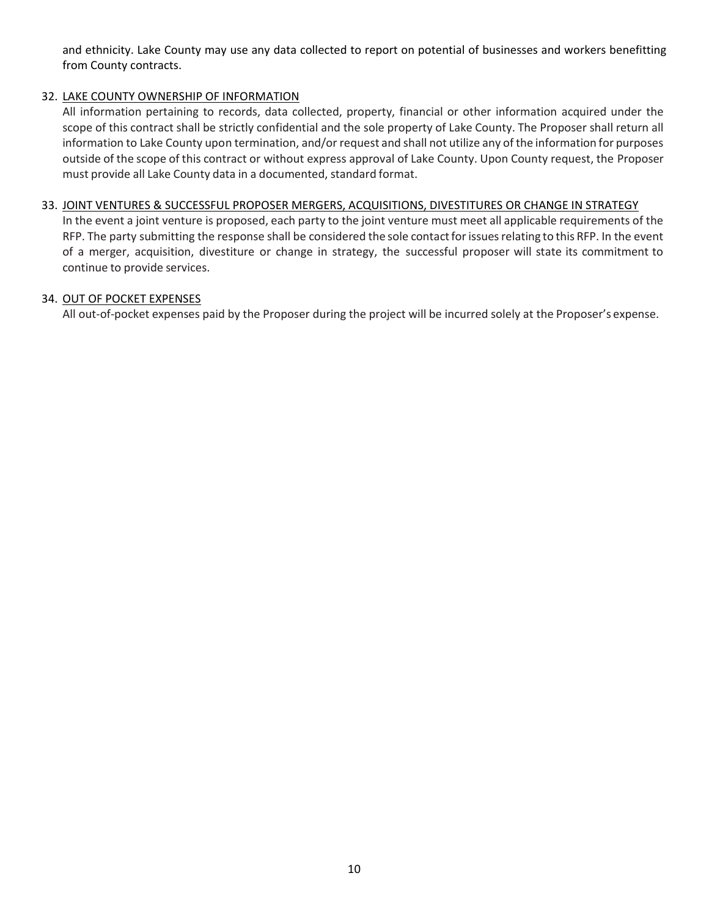and ethnicity. Lake County may use any data collected to report on potential of businesses and workers benefitting from County contracts.

#### 32. LAKE COUNTY OWNERSHIP OF INFORMATION

All information pertaining to records, data collected, property, financial or other information acquired under the scope of this contract shall be strictly confidential and the sole property of Lake County. The Proposer shall return all information to Lake County upon termination, and/or request and shall not utilize any of the information for purposes outside of the scope of this contract or without express approval of Lake County. Upon County request, the Proposer must provide all Lake County data in a documented, standard format.

#### 33. JOINT VENTURES & SUCCESSFUL PROPOSER MERGERS, ACQUISITIONS, DIVESTITURES OR CHANGE IN STRATEGY

In the event a joint venture is proposed, each party to the joint venture must meet all applicable requirements of the RFP. The party submitting the response shall be considered the sole contact for issues relating to this RFP. In the event of a merger, acquisition, divestiture or change in strategy, the successful proposer will state its commitment to continue to provide services.

#### 34. OUT OF POCKET EXPENSES

All out-of-pocket expenses paid by the Proposer during the project will be incurred solely at the Proposer's expense.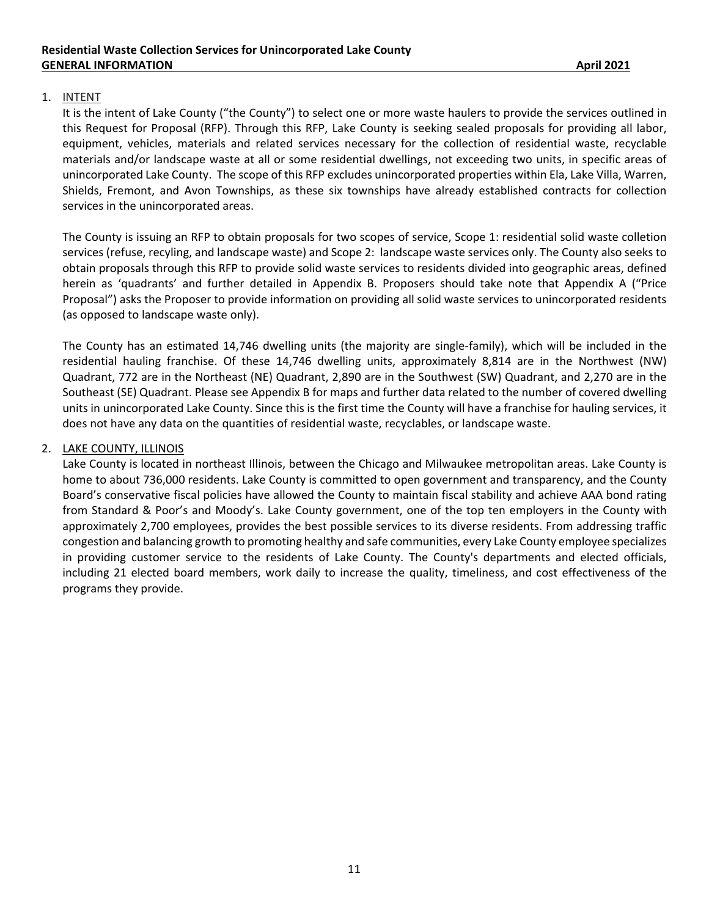#### 1. INTENT

It is the intent of Lake County ("the County") to select one or more waste haulers to provide the services outlined in this Request for Proposal (RFP). Through this RFP, Lake County is seeking sealed proposals for providing all labor, equipment, vehicles, materials and related services necessary for the collection of residential waste, recyclable materials and/or landscape waste at all or some residential dwellings, not exceeding two units, in specific areas of unincorporated Lake County. The scope of this RFP excludes unincorporated properties within Ela, Lake Villa, Warren, Shields, Fremont, and Avon Townships, as these six townships have already established contracts for collection services in the unincorporated areas.

The County is issuing an RFP to obtain proposals for two scopes of service, Scope 1: residential solid waste colletion services (refuse, recyling, and landscape waste) and Scope 2: landscape waste services only. The County also seeks to obtain proposals through this RFP to provide solid waste services to residents divided into geographic areas, defined herein as 'quadrants' and further detailed in Appendix B. Proposers should take note that Appendix A ("Price Proposal") asks the Proposer to provide information on providing all solid waste services to unincorporated residents (as opposed to landscape waste only).

The County has an estimated 14,746 dwelling units (the majority are single‐family), which will be included in the residential hauling franchise. Of these 14,746 dwelling units, approximately 8,814 are in the Northwest (NW) Quadrant, 772 are in the Northeast (NE) Quadrant, 2,890 are in the Southwest (SW) Quadrant, and 2,270 are in the Southeast (SE) Quadrant. Please see Appendix B for maps and further data related to the number of covered dwelling units in unincorporated Lake County. Since this is the first time the County will have a franchise for hauling services, it does not have any data on the quantities of residential waste, recyclables, or landscape waste.

#### 2. LAKE COUNTY, ILLINOIS

Lake County is located in northeast Illinois, between the Chicago and Milwaukee metropolitan areas. Lake County is home to about 736,000 residents. Lake County is committed to open government and transparency, and the County Board's conservative fiscal policies have allowed the County to maintain fiscal stability and achieve AAA bond rating from Standard & Poor's and Moody's. Lake County government, one of the top ten employers in the County with approximately 2,700 employees, provides the best possible services to its diverse residents. From addressing traffic congestion and balancing growth to promoting healthy and safe communities, every Lake County employee specializes in providing customer service to the residents of Lake County. The County's departments and elected officials, including 21 elected board members, work daily to increase the quality, timeliness, and cost effectiveness of the programs they provide.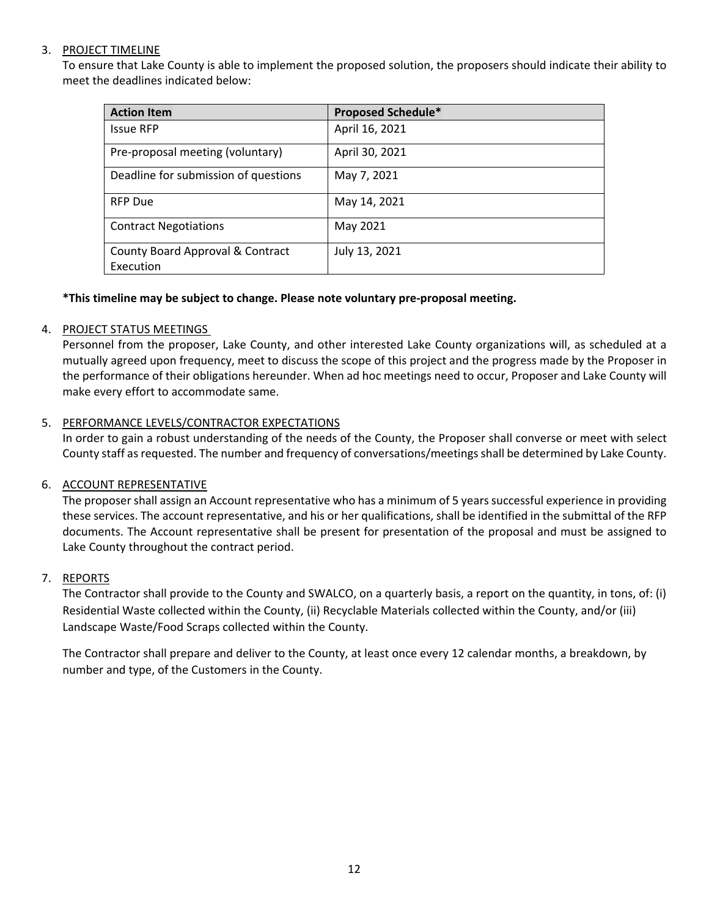#### 3. PROJECT TIMELINE

 To ensure that Lake County is able to implement the proposed solution, the proposers should indicate their ability to meet the deadlines indicated below:

| <b>Action Item</b>                            | <b>Proposed Schedule*</b> |
|-----------------------------------------------|---------------------------|
| <b>Issue RFP</b>                              | April 16, 2021            |
| Pre-proposal meeting (voluntary)              | April 30, 2021            |
| Deadline for submission of questions          | May 7, 2021               |
| <b>RFP Due</b>                                | May 14, 2021              |
| <b>Contract Negotiations</b>                  | May 2021                  |
| County Board Approval & Contract<br>Execution | July 13, 2021             |

#### **\*This timeline may be subject to change. Please note voluntary pre‐proposal meeting.**

#### 4. PROJECT STATUS MEETINGS

Personnel from the proposer, Lake County, and other interested Lake County organizations will, as scheduled at a mutually agreed upon frequency, meet to discuss the scope of this project and the progress made by the Proposer in the performance of their obligations hereunder. When ad hoc meetings need to occur, Proposer and Lake County will make every effort to accommodate same.

#### 5. PERFORMANCE LEVELS/CONTRACTOR EXPECTATIONS

In order to gain a robust understanding of the needs of the County, the Proposer shall converse or meet with select County staff as requested. The number and frequency of conversations/meetings shall be determined by Lake County.

#### 6. ACCOUNT REPRESENTATIVE

The proposer shall assign an Account representative who has a minimum of 5 years successful experience in providing these services. The account representative, and his or her qualifications, shall be identified in the submittal of the RFP documents. The Account representative shall be present for presentation of the proposal and must be assigned to Lake County throughout the contract period.

#### 7. REPORTS

The Contractor shall provide to the County and SWALCO, on a quarterly basis, a report on the quantity, in tons, of: (i) Residential Waste collected within the County, (ii) Recyclable Materials collected within the County, and/or (iii) Landscape Waste/Food Scraps collected within the County.

The Contractor shall prepare and deliver to the County, at least once every 12 calendar months, a breakdown, by number and type, of the Customers in the County.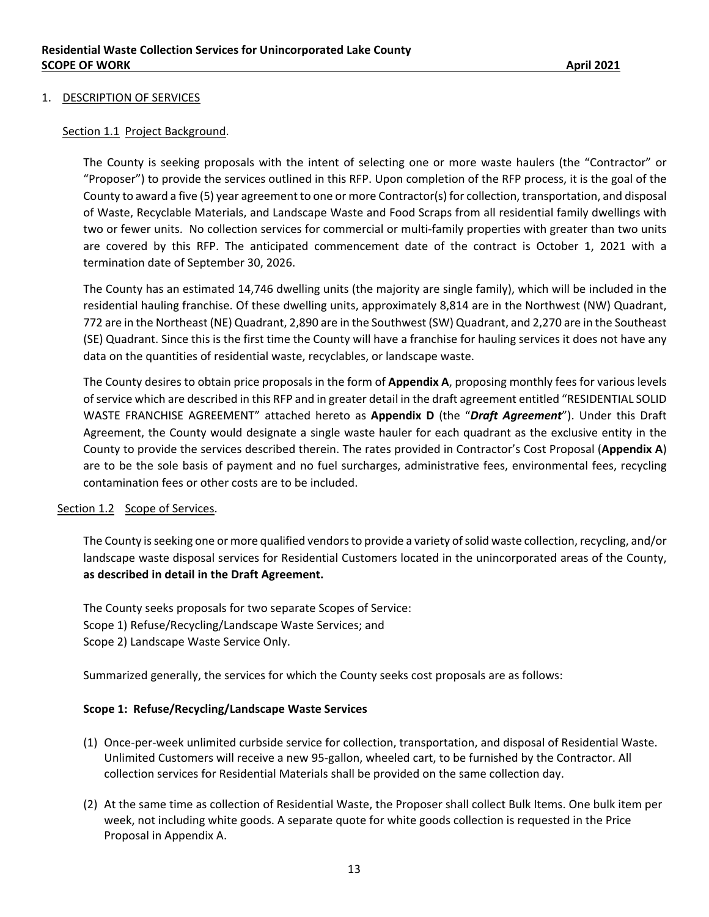#### 1. DESCRIPTION OF SERVICES

#### Section 1.1 Project Background.

The County is seeking proposals with the intent of selecting one or more waste haulers (the "Contractor" or "Proposer") to provide the services outlined in this RFP. Upon completion of the RFP process, it is the goal of the County to award a five (5) year agreement to one or more Contractor(s) for collection, transportation, and disposal of Waste, Recyclable Materials, and Landscape Waste and Food Scraps from all residential family dwellings with two or fewer units. No collection services for commercial or multi-family properties with greater than two units are covered by this RFP. The anticipated commencement date of the contract is October 1, 2021 with a termination date of September 30, 2026.

The County has an estimated 14,746 dwelling units (the majority are single family), which will be included in the residential hauling franchise. Of these dwelling units, approximately 8,814 are in the Northwest (NW) Quadrant, 772 are in the Northeast (NE) Quadrant, 2,890 are in the Southwest (SW) Quadrant, and 2,270 are in the Southeast (SE) Quadrant. Since this is the first time the County will have a franchise for hauling services it does not have any data on the quantities of residential waste, recyclables, or landscape waste.

The County desires to obtain price proposals in the form of **Appendix A**, proposing monthly fees for various levels of service which are described in this RFP and in greater detail in the draft agreement entitled "RESIDENTIAL SOLID WASTE FRANCHISE AGREEMENT" attached hereto as **Appendix D** (the "*Draft Agreement*"). Under this Draft Agreement, the County would designate a single waste hauler for each quadrant as the exclusive entity in the County to provide the services described therein. The rates provided in Contractor's Cost Proposal (**Appendix A**) are to be the sole basis of payment and no fuel surcharges, administrative fees, environmental fees, recycling contamination fees or other costs are to be included.

#### Section 1.2 Scope of Services.

The County is seeking one or more qualified vendors to provide a variety of solid waste collection, recycling, and/or landscape waste disposal services for Residential Customers located in the unincorporated areas of the County, **as described in detail in the Draft Agreement.** 

The County seeks proposals for two separate Scopes of Service: Scope 1) Refuse/Recycling/Landscape Waste Services; and Scope 2) Landscape Waste Service Only.

Summarized generally, the services for which the County seeks cost proposals are as follows:

#### **Scope 1: Refuse/Recycling/Landscape Waste Services**

- (1) Once‐per‐week unlimited curbside service for collection, transportation, and disposal of Residential Waste. Unlimited Customers will receive a new 95‐gallon, wheeled cart, to be furnished by the Contractor. All collection services for Residential Materials shall be provided on the same collection day.
- (2) At the same time as collection of Residential Waste, the Proposer shall collect Bulk Items. One bulk item per week, not including white goods. A separate quote for white goods collection is requested in the Price Proposal in Appendix A.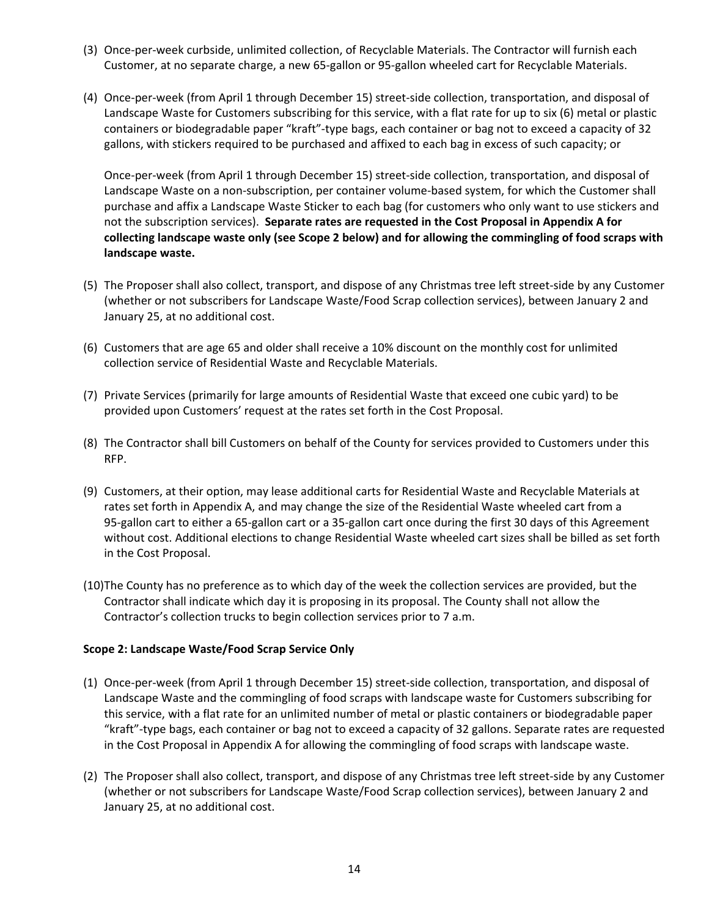- (3) Once‐per‐week curbside, unlimited collection, of Recyclable Materials. The Contractor will furnish each Customer, at no separate charge, a new 65‐gallon or 95‐gallon wheeled cart for Recyclable Materials.
- (4) Once‐per‐week (from April 1 through December 15) street‐side collection, transportation, and disposal of Landscape Waste for Customers subscribing for this service, with a flat rate for up to six (6) metal or plastic containers or biodegradable paper "kraft"‐type bags, each container or bag not to exceed a capacity of 32 gallons, with stickers required to be purchased and affixed to each bag in excess of such capacity; or

Once-per-week (from April 1 through December 15) street-side collection, transportation, and disposal of Landscape Waste on a non‐subscription, per container volume‐based system, for which the Customer shall purchase and affix a Landscape Waste Sticker to each bag (for customers who only want to use stickers and not the subscription services). **Separate rates are requested in the Cost Proposal in Appendix A for collecting landscape waste only (see Scope 2 below) and for allowing the commingling of food scraps with landscape waste.** 

- (5) The Proposer shall also collect, transport, and dispose of any Christmas tree left street‐side by any Customer (whether or not subscribers for Landscape Waste/Food Scrap collection services), between January 2 and January 25, at no additional cost.
- (6) Customers that are age 65 and older shall receive a 10% discount on the monthly cost for unlimited collection service of Residential Waste and Recyclable Materials.
- (7) Private Services (primarily for large amounts of Residential Waste that exceed one cubic yard) to be provided upon Customers' request at the rates set forth in the Cost Proposal.
- (8) The Contractor shall bill Customers on behalf of the County for services provided to Customers under this RFP.
- (9) Customers, at their option, may lease additional carts for Residential Waste and Recyclable Materials at rates set forth in Appendix A, and may change the size of the Residential Waste wheeled cart from a 95‐gallon cart to either a 65‐gallon cart or a 35‐gallon cart once during the first 30 days of this Agreement without cost. Additional elections to change Residential Waste wheeled cart sizes shall be billed as set forth in the Cost Proposal.
- (10)The County has no preference as to which day of the week the collection services are provided, but the Contractor shall indicate which day it is proposing in its proposal. The County shall not allow the Contractor's collection trucks to begin collection services prior to 7 a.m.

#### **Scope 2: Landscape Waste/Food Scrap Service Only**

- (1) Once‐per‐week (from April 1 through December 15) street‐side collection, transportation, and disposal of Landscape Waste and the commingling of food scraps with landscape waste for Customers subscribing for this service, with a flat rate for an unlimited number of metal or plastic containers or biodegradable paper "kraft"‐type bags, each container or bag not to exceed a capacity of 32 gallons. Separate rates are requested in the Cost Proposal in Appendix A for allowing the commingling of food scraps with landscape waste.
- (2) The Proposer shall also collect, transport, and dispose of any Christmas tree left street‐side by any Customer (whether or not subscribers for Landscape Waste/Food Scrap collection services), between January 2 and January 25, at no additional cost.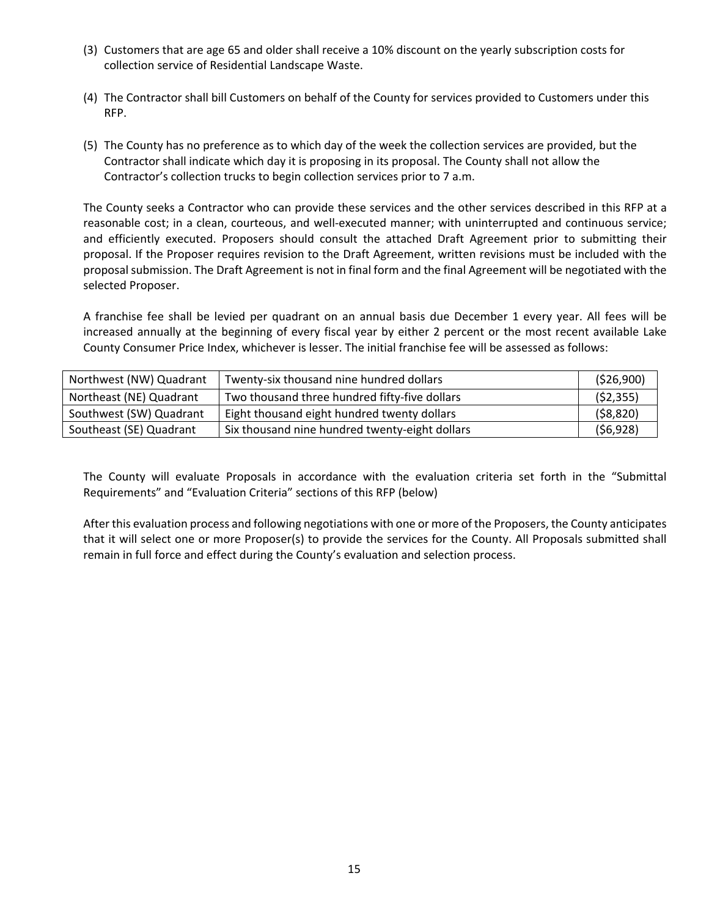- (3) Customers that are age 65 and older shall receive a 10% discount on the yearly subscription costs for collection service of Residential Landscape Waste.
- (4) The Contractor shall bill Customers on behalf of the County for services provided to Customers under this RFP.
- (5) The County has no preference as to which day of the week the collection services are provided, but the Contractor shall indicate which day it is proposing in its proposal. The County shall not allow the Contractor's collection trucks to begin collection services prior to 7 a.m.

The County seeks a Contractor who can provide these services and the other services described in this RFP at a reasonable cost; in a clean, courteous, and well-executed manner; with uninterrupted and continuous service; and efficiently executed. Proposers should consult the attached Draft Agreement prior to submitting their proposal. If the Proposer requires revision to the Draft Agreement, written revisions must be included with the proposal submission. The Draft Agreement is not in final form and the final Agreement will be negotiated with the selected Proposer.

A franchise fee shall be levied per quadrant on an annual basis due December 1 every year. All fees will be increased annually at the beginning of every fiscal year by either 2 percent or the most recent available Lake County Consumer Price Index, whichever is lesser. The initial franchise fee will be assessed as follows:

| Northwest (NW) Quadrant | Twenty-six thousand nine hundred dollars       | (526,900) |
|-------------------------|------------------------------------------------|-----------|
| Northeast (NE) Quadrant | Two thousand three hundred fifty-five dollars  | (52, 355) |
| Southwest (SW) Quadrant | Eight thousand eight hundred twenty dollars    | (58, 820) |
| Southeast (SE) Quadrant | Six thousand nine hundred twenty-eight dollars | (56,928)  |

The County will evaluate Proposals in accordance with the evaluation criteria set forth in the "Submittal Requirements" and "Evaluation Criteria" sections of this RFP (below)

After this evaluation process and following negotiations with one or more of the Proposers, the County anticipates that it will select one or more Proposer(s) to provide the services for the County. All Proposals submitted shall remain in full force and effect during the County's evaluation and selection process.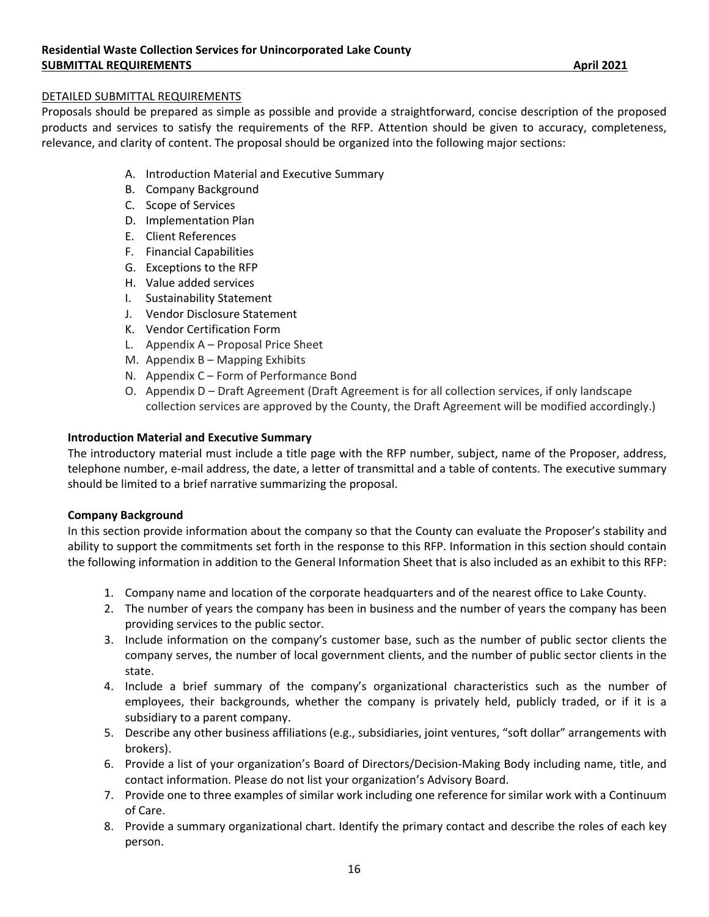#### DETAILED SUBMITTAL REQUIREMENTS

Proposals should be prepared as simple as possible and provide a straightforward, concise description of the proposed products and services to satisfy the requirements of the RFP. Attention should be given to accuracy, completeness, relevance, and clarity of content. The proposal should be organized into the following major sections:

- A. Introduction Material and Executive Summary
- B. Company Background
- C. Scope of Services
- D. Implementation Plan
- E. Client References
- F. Financial Capabilities
- G. Exceptions to the RFP
- H. Value added services
- I. Sustainability Statement
- J. Vendor Disclosure Statement
- K. Vendor Certification Form
- L. Appendix A Proposal Price Sheet
- M. Appendix B Mapping Exhibits
- N. Appendix C Form of Performance Bond
- O. Appendix D Draft Agreement (Draft Agreement is for all collection services, if only landscape collection services are approved by the County, the Draft Agreement will be modified accordingly.)

#### **Introduction Material and Executive Summary**

The introductory material must include a title page with the RFP number, subject, name of the Proposer, address, telephone number, e-mail address, the date, a letter of transmittal and a table of contents. The executive summary should be limited to a brief narrative summarizing the proposal.

#### **Company Background**

In this section provide information about the company so that the County can evaluate the Proposer's stability and ability to support the commitments set forth in the response to this RFP. Information in this section should contain the following information in addition to the General Information Sheet that is also included as an exhibit to this RFP:

- 1. Company name and location of the corporate headquarters and of the nearest office to Lake County.
- 2. The number of years the company has been in business and the number of years the company has been providing services to the public sector.
- 3. Include information on the company's customer base, such as the number of public sector clients the company serves, the number of local government clients, and the number of public sector clients in the state.
- 4. Include a brief summary of the company's organizational characteristics such as the number of employees, their backgrounds, whether the company is privately held, publicly traded, or if it is a subsidiary to a parent company.
- 5. Describe any other business affiliations (e.g., subsidiaries, joint ventures, "soft dollar" arrangements with brokers).
- 6. Provide a list of your organization's Board of Directors/Decision‐Making Body including name, title, and contact information. Please do not list your organization's Advisory Board.
- 7. Provide one to three examples of similar work including one reference for similar work with a Continuum of Care.
- 8. Provide a summary organizational chart. Identify the primary contact and describe the roles of each key person.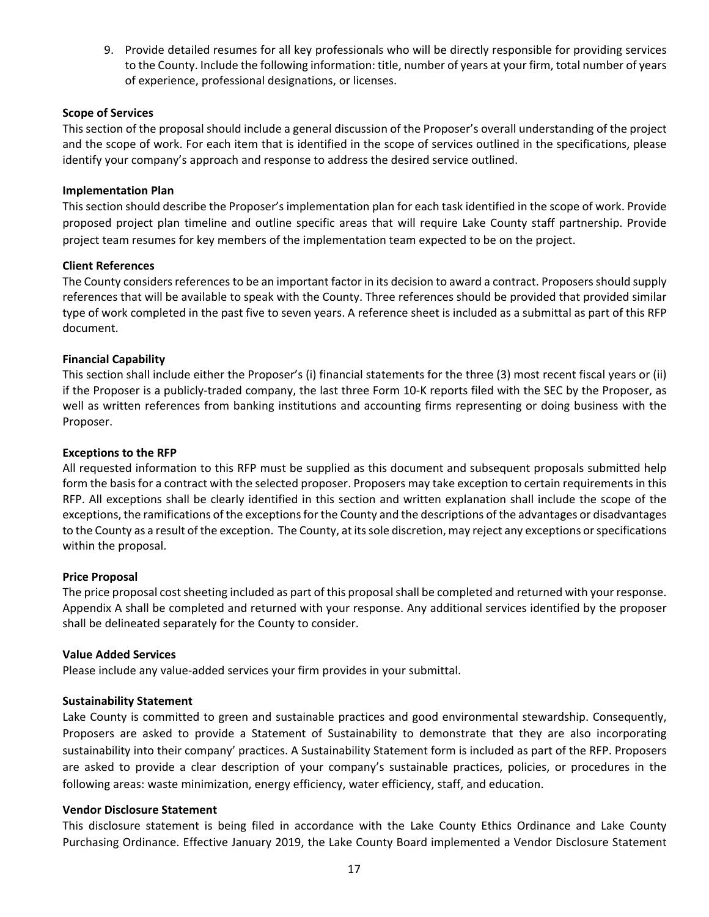9. Provide detailed resumes for all key professionals who will be directly responsible for providing services to the County. Include the following information: title, number of years at your firm, total number of years of experience, professional designations, or licenses.

#### **Scope of Services**

This section of the proposal should include a general discussion of the Proposer's overall understanding of the project and the scope of work. For each item that is identified in the scope of services outlined in the specifications, please identify your company's approach and response to address the desired service outlined.

#### **Implementation Plan**

This section should describe the Proposer's implementation plan for each task identified in the scope of work. Provide proposed project plan timeline and outline specific areas that will require Lake County staff partnership. Provide project team resumes for key members of the implementation team expected to be on the project.

#### **Client References**

The County considers references to be an important factor in its decision to award a contract. Proposers should supply references that will be available to speak with the County. Three references should be provided that provided similar type of work completed in the past five to seven years. A reference sheet is included as a submittal as part of this RFP document.

#### **Financial Capability**

This section shall include either the Proposer's (i) financial statements for the three (3) most recent fiscal years or (ii) if the Proposer is a publicly‐traded company, the last three Form 10‐K reports filed with the SEC by the Proposer, as well as written references from banking institutions and accounting firms representing or doing business with the Proposer.

#### **Exceptions to the RFP**

All requested information to this RFP must be supplied as this document and subsequent proposals submitted help form the basis for a contract with the selected proposer. Proposers may take exception to certain requirements in this RFP. All exceptions shall be clearly identified in this section and written explanation shall include the scope of the exceptions, the ramifications of the exceptions for the County and the descriptions of the advantages or disadvantages to the County as a result of the exception. The County, at its sole discretion, may reject any exceptions or specifications within the proposal.

#### **Price Proposal**

The price proposal cost sheeting included as part of this proposal shall be completed and returned with your response. Appendix A shall be completed and returned with your response. Any additional services identified by the proposer shall be delineated separately for the County to consider.

#### **Value Added Services**

Please include any value‐added services your firm provides in your submittal.

#### **Sustainability Statement**

Lake County is committed to green and sustainable practices and good environmental stewardship. Consequently, Proposers are asked to provide a Statement of Sustainability to demonstrate that they are also incorporating sustainability into their company' practices. A Sustainability Statement form is included as part of the RFP. Proposers are asked to provide a clear description of your company's sustainable practices, policies, or procedures in the following areas: waste minimization, energy efficiency, water efficiency, staff, and education.

#### **Vendor Disclosure Statement**

This disclosure statement is being filed in accordance with the Lake County Ethics Ordinance and Lake County Purchasing Ordinance. Effective January 2019, the Lake County Board implemented a Vendor Disclosure Statement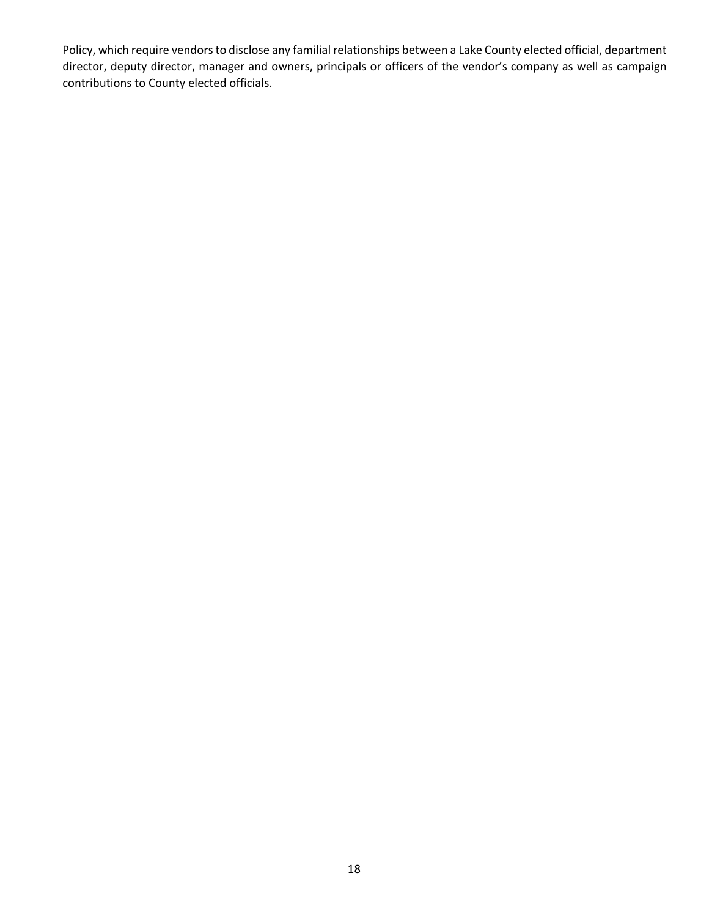Policy, which require vendors to disclose any familial relationships between a Lake County elected official, department director, deputy director, manager and owners, principals or officers of the vendor's company as well as campaign contributions to County elected officials.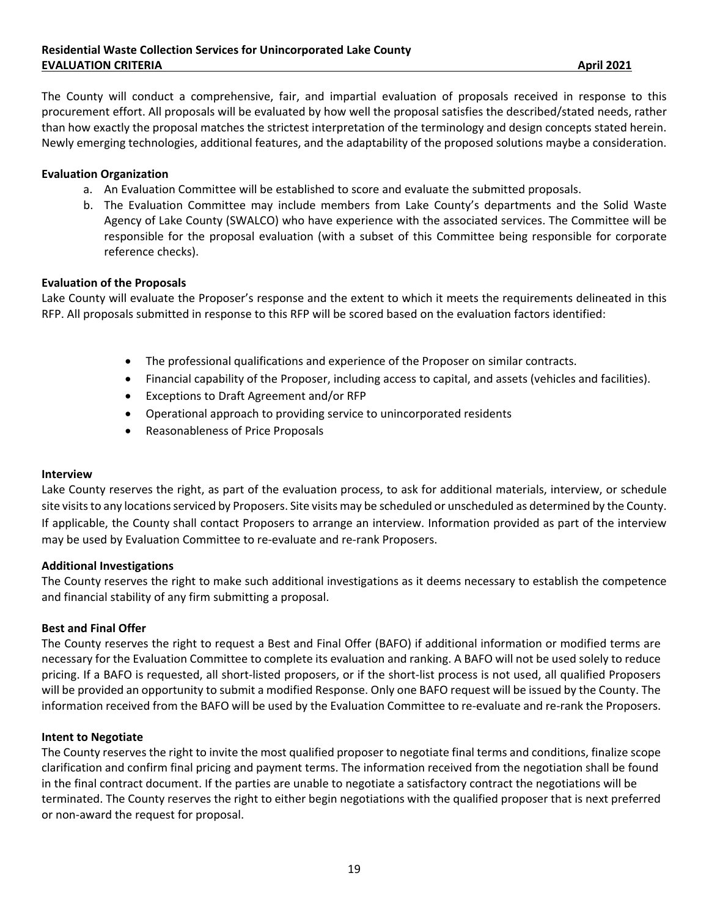The County will conduct a comprehensive, fair, and impartial evaluation of proposals received in response to this procurement effort. All proposals will be evaluated by how well the proposal satisfies the described/stated needs, rather than how exactly the proposal matches the strictest interpretation of the terminology and design concepts stated herein. Newly emerging technologies, additional features, and the adaptability of the proposed solutions maybe a consideration.

#### **Evaluation Organization**

- a. An Evaluation Committee will be established to score and evaluate the submitted proposals.
- b. The Evaluation Committee may include members from Lake County's departments and the Solid Waste Agency of Lake County (SWALCO) who have experience with the associated services. The Committee will be responsible for the proposal evaluation (with a subset of this Committee being responsible for corporate reference checks).

#### **Evaluation of the Proposals**

Lake County will evaluate the Proposer's response and the extent to which it meets the requirements delineated in this RFP. All proposals submitted in response to this RFP will be scored based on the evaluation factors identified:

- The professional qualifications and experience of the Proposer on similar contracts.
- Financial capability of the Proposer, including access to capital, and assets (vehicles and facilities).
- Exceptions to Draft Agreement and/or RFP
- Operational approach to providing service to unincorporated residents
- Reasonableness of Price Proposals

#### **Interview**

Lake County reserves the right, as part of the evaluation process, to ask for additional materials, interview, or schedule site visits to any locations serviced by Proposers. Site visits may be scheduled or unscheduled as determined by the County. If applicable, the County shall contact Proposers to arrange an interview. Information provided as part of the interview may be used by Evaluation Committee to re‐evaluate and re‐rank Proposers.

#### **Additional Investigations**

The County reserves the right to make such additional investigations as it deems necessary to establish the competence and financial stability of any firm submitting a proposal.

#### **Best and Final Offer**

The County reserves the right to request a Best and Final Offer (BAFO) if additional information or modified terms are necessary for the Evaluation Committee to complete its evaluation and ranking. A BAFO will not be used solely to reduce pricing. If a BAFO is requested, all short‐listed proposers, or if the short‐list process is not used, all qualified Proposers will be provided an opportunity to submit a modified Response. Only one BAFO request will be issued by the County. The information received from the BAFO will be used by the Evaluation Committee to re-evaluate and re-rank the Proposers.

#### **Intent to Negotiate**

The County reserves the right to invite the most qualified proposer to negotiate final terms and conditions, finalize scope clarification and confirm final pricing and payment terms. The information received from the negotiation shall be found in the final contract document. If the parties are unable to negotiate a satisfactory contract the negotiations will be terminated. The County reserves the right to either begin negotiations with the qualified proposer that is next preferred or non‐award the request for proposal.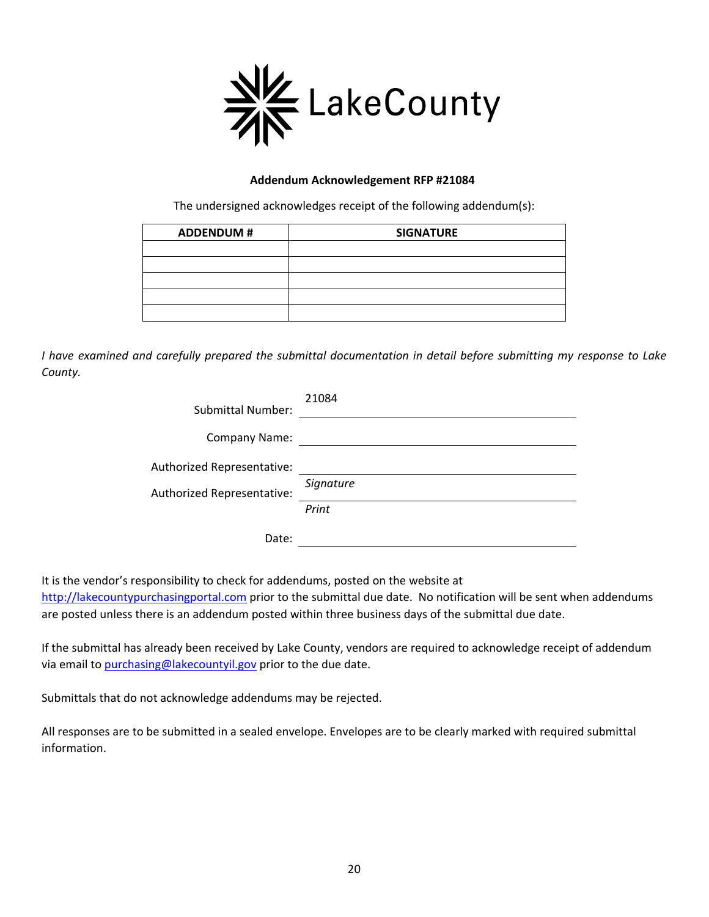

#### **Addendum Acknowledgement RFP #21084**

The undersigned acknowledges receipt of the following addendum(s):

| <b>ADDENDUM#</b> | <b>SIGNATURE</b> |
|------------------|------------------|
|                  |                  |
|                  |                  |
|                  |                  |
|                  |                  |
|                  |                  |

*I have examined and carefully prepared the submittal documentation in detail before submitting my response to Lake County.* 

| <b>Submittal Number:</b>                                 | 21084              |
|----------------------------------------------------------|--------------------|
| <b>Company Name:</b>                                     |                    |
| Authorized Representative:<br>Authorized Representative: | Signature<br>Print |
| Date:                                                    |                    |

It is the vendor's responsibility to check for addendums, posted on the website at

http://lakecountypurchasingportal.com prior to the submittal due date. No notification will be sent when addendums are posted unless there is an addendum posted within three business days of the submittal due date.

If the submittal has already been received by Lake County, vendors are required to acknowledge receipt of addendum via email to purchasing@lakecountyil.gov prior to the due date.

Submittals that do not acknowledge addendums may be rejected.

All responses are to be submitted in a sealed envelope. Envelopes are to be clearly marked with required submittal information.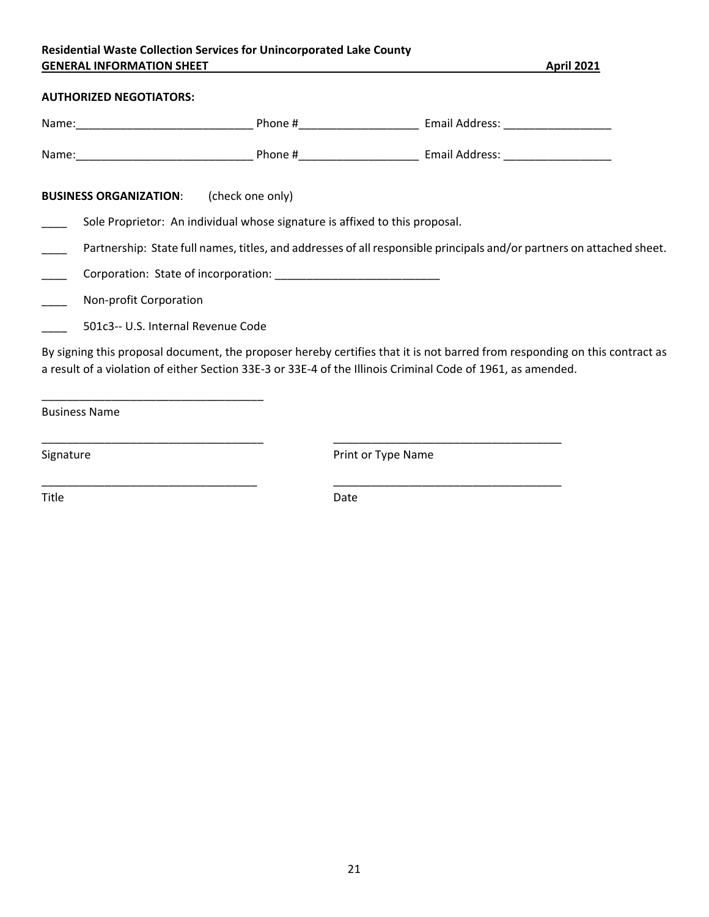#### **Residential Waste Collection Services for Unincorporated Lake County GENERAL INFORMATION SHEET April 2021**

#### **AUTHORIZED NEGOTIATORS:**

| Name: |                                    | Phone #                                                                     | Email Address:                                                                                                                                                                                                                            |  |
|-------|------------------------------------|-----------------------------------------------------------------------------|-------------------------------------------------------------------------------------------------------------------------------------------------------------------------------------------------------------------------------------------|--|
|       |                                    |                                                                             | Phone # Frail Address: Email Address:                                                                                                                                                                                                     |  |
|       | <b>BUSINESS ORGANIZATION:</b>      | (check one only)                                                            |                                                                                                                                                                                                                                           |  |
|       |                                    | Sole Proprietor: An individual whose signature is affixed to this proposal. |                                                                                                                                                                                                                                           |  |
|       |                                    |                                                                             | Partnership: State full names, titles, and addresses of all responsible principals and/or partners on attached sheet.                                                                                                                     |  |
|       |                                    |                                                                             |                                                                                                                                                                                                                                           |  |
|       | Non-profit Corporation             |                                                                             |                                                                                                                                                                                                                                           |  |
|       | 501c3-- U.S. Internal Revenue Code |                                                                             |                                                                                                                                                                                                                                           |  |
|       |                                    |                                                                             | By signing this proposal document, the proposer hereby certifies that it is not barred from responding on this contract as<br>a result of a violation of either Section 33E-3 or 33E-4 of the Illinois Criminal Code of 1961, as amended. |  |

Business Name

Signature **Contract Contract Contract Contract Contract Contract Contract Contract Contract Contract Contract Contract Contract Contract Contract Contract Contract Contract Contract Contract Contract Contract Contract Cont** 

Title **Date** 

\_\_\_\_\_\_\_\_\_\_\_\_\_\_\_\_\_\_\_\_\_\_\_\_\_\_\_\_\_\_\_\_\_\_\_ \_\_\_\_\_\_\_\_\_\_\_\_\_\_\_\_\_\_\_\_\_\_\_\_\_\_\_\_\_\_\_\_\_\_\_\_

\_\_\_\_\_\_\_\_\_\_\_\_\_\_\_\_\_\_\_\_\_\_\_\_\_\_\_\_\_\_\_\_\_\_ \_\_\_\_\_\_\_\_\_\_\_\_\_\_\_\_\_\_\_\_\_\_\_\_\_\_\_\_\_\_\_\_\_\_\_\_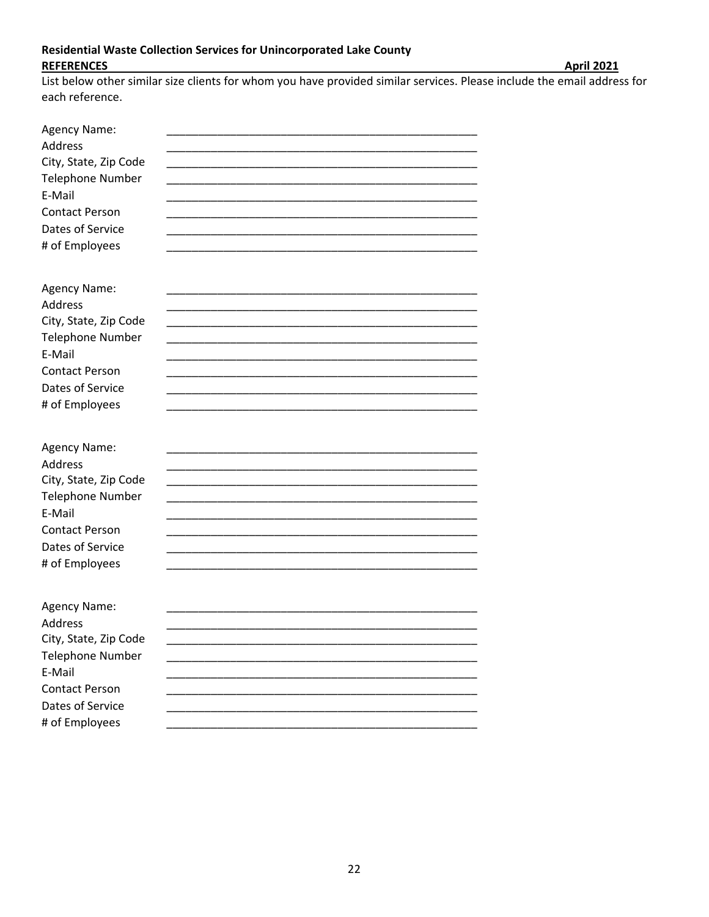#### Residential Waste Collection Services for Unincorporated Lake County **REFERENCES**

List below other similar size clients for whom you have provided similar services. Please include the email address for each reference.

| Agency Name:<br>Address<br>City, State, Zip Code<br><b>Telephone Number</b><br>E-Mail<br><b>Contact Person</b><br>Dates of Service<br># of Employees |  |
|------------------------------------------------------------------------------------------------------------------------------------------------------|--|
| Agency Name:<br>Address<br>City, State, Zip Code<br><b>Telephone Number</b><br>E-Mail<br><b>Contact Person</b><br>Dates of Service<br># of Employees |  |
| Agency Name:<br>Address<br>City, State, Zip Code<br><b>Telephone Number</b><br>E-Mail<br><b>Contact Person</b><br>Dates of Service<br># of Employees |  |
| Agency Name:<br>Address<br>City, State, Zip Code<br><b>Telephone Number</b><br>E-Mail<br><b>Contact Person</b><br>Dates of Service<br># of Employees |  |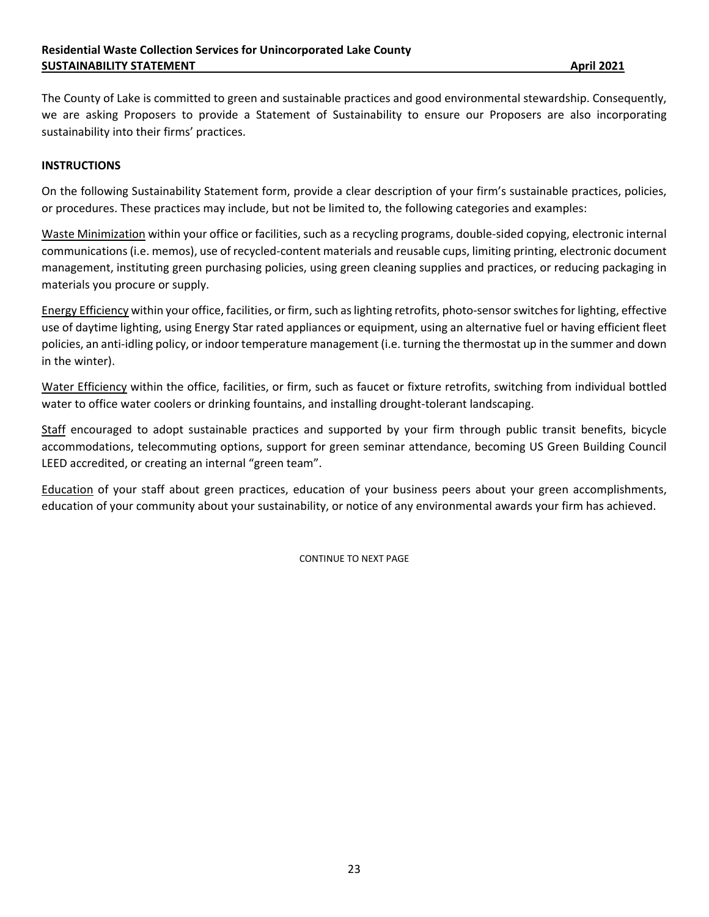The County of Lake is committed to green and sustainable practices and good environmental stewardship. Consequently, we are asking Proposers to provide a Statement of Sustainability to ensure our Proposers are also incorporating sustainability into their firms' practices.

#### **INSTRUCTIONS**

On the following Sustainability Statement form, provide a clear description of your firm's sustainable practices, policies, or procedures. These practices may include, but not be limited to, the following categories and examples:

Waste Minimization within your office or facilities, such as a recycling programs, double‐sided copying, electronic internal communications (i.e. memos), use of recycled‐content materials and reusable cups, limiting printing, electronic document management, instituting green purchasing policies, using green cleaning supplies and practices, or reducing packaging in materials you procure or supply.

Energy Efficiency within your office, facilities, or firm, such as lighting retrofits, photo‐sensor switches for lighting, effective use of daytime lighting, using Energy Star rated appliances or equipment, using an alternative fuel or having efficient fleet policies, an anti‐idling policy, or indoor temperature management (i.e. turning the thermostat up in the summer and down in the winter).

Water Efficiency within the office, facilities, or firm, such as faucet or fixture retrofits, switching from individual bottled water to office water coolers or drinking fountains, and installing drought-tolerant landscaping.

Staff encouraged to adopt sustainable practices and supported by your firm through public transit benefits, bicycle accommodations, telecommuting options, support for green seminar attendance, becoming US Green Building Council LEED accredited, or creating an internal "green team".

Education of your staff about green practices, education of your business peers about your green accomplishments, education of your community about your sustainability, or notice of any environmental awards your firm has achieved.

CONTINUE TO NEXT PAGE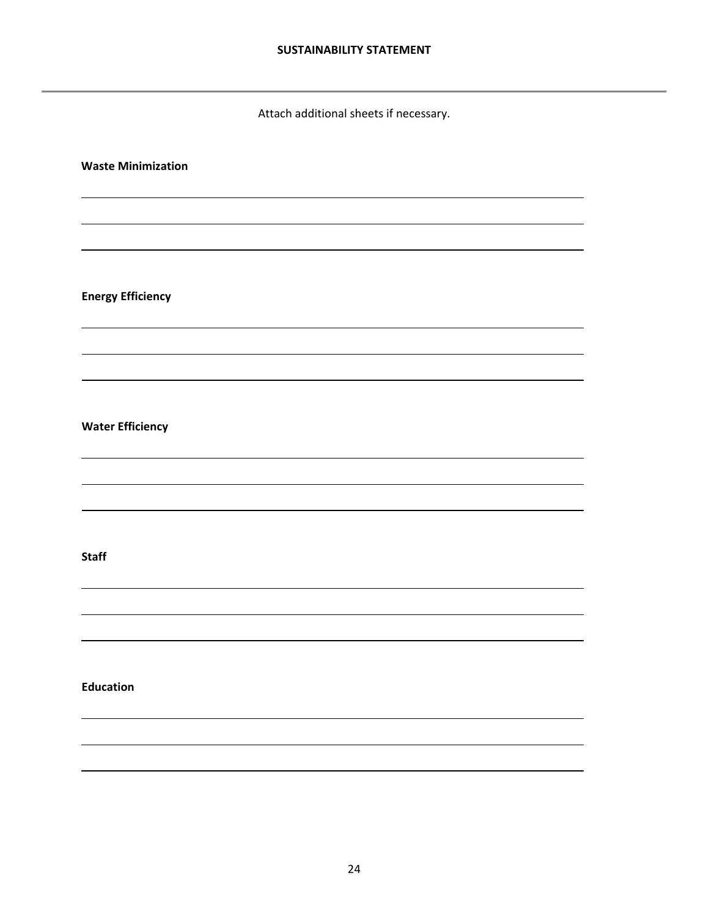Attach additional sheets if necessary.

# **Waste Minimization** <u> 1980 - Johann Stoff, deutscher Stoffen und der Stoffen und der Stoffen und der Stoffen und der Stoffen und d</u> <u> 1980 - Johann Stoff, deutscher Stoffen und der Stoffen und der Stoffen und der Stoffen und der Stoffen und d</u> **Energy Efficiency**  <u> 1980 - Johann Stoff, deutscher Stoffen und der Stoffen und der Stoffen und der Stoffen und der Stoffen und d</u> <u> 1980 - Johann Barnett, fransk politik (f. 1980)</u> **Water Efficiency**  <u> 1980 - Johann Stoff, deutscher Stoffen und der Stoffen und der Stoffen und der Stoffen und der Stoffen und d</u> <u> 1980 - Johann Barnett, fransk politik (f. 1980)</u> **Staff** <u> 1980 - Johann Stoff, deutscher Stoffen und der Stoffen und der Stoffen und der Stoffen und der Stoffen und d</u> <u> 1989 - Johann Stoff, deutscher Stoffen und der Stoffen und der Stoffen und der Stoffen und der Stoffen und d</u> **Education**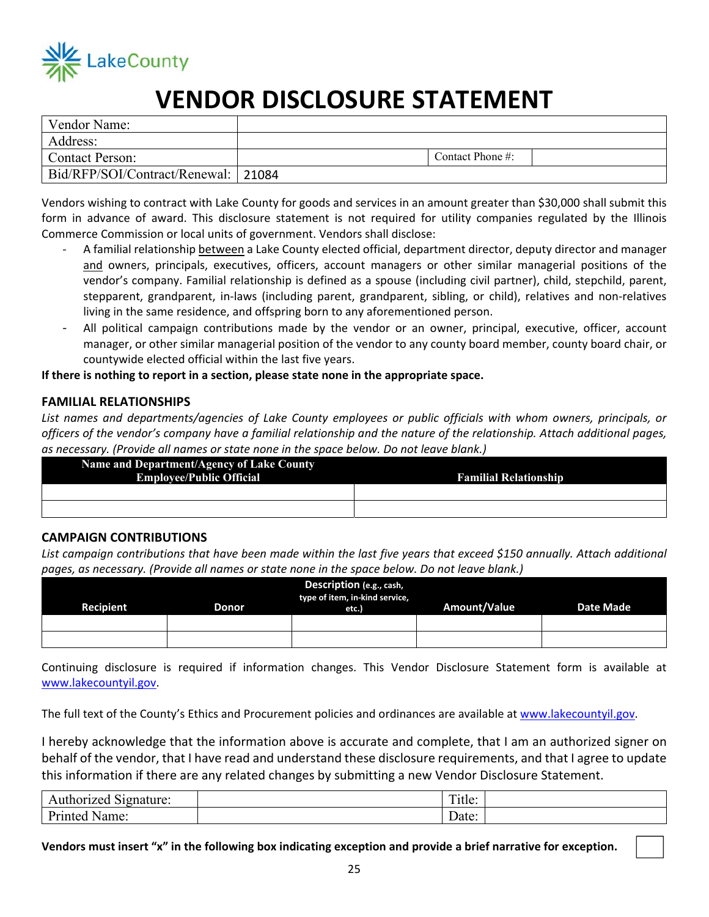

# **LakeCounty<br>
<b>VENDOR DISCLOSURE STATEMENT**

| Vendor Name:                        |                      |  |
|-------------------------------------|----------------------|--|
| Address:                            |                      |  |
| <b>Contact Person:</b>              | Contact Phone $\#$ : |  |
| Bid/RFP/SOI/Contract/Renewal: 21084 |                      |  |

Vendors wishing to contract with Lake County for goods and services in an amount greater than \$30,000 shall submit this form in advance of award. This disclosure statement is not required for utility companies regulated by the Illinois Commerce Commission or local units of government. Vendors shall disclose:

- ‐ A familial relationship between a Lake County elected official, department director, deputy director and manager and owners, principals, executives, officers, account managers or other similar managerial positions of the vendor's company. Familial relationship is defined as a spouse (including civil partner), child, stepchild, parent, stepparent, grandparent, in-laws (including parent, grandparent, sibling, or child), relatives and non-relatives living in the same residence, and offspring born to any aforementioned person.
- All political campaign contributions made by the vendor or an owner, principal, executive, officer, account manager, or other similar managerial position of the vendor to any county board member, county board chair, or countywide elected official within the last five years.

#### **If there is nothing to report in a section, please state none in the appropriate space.**

#### **FAMILIAL RELATIONSHIPS**

*List names and departments/agencies of Lake County employees or public officials with whom owners, principals, or officers of the vendor's company have a familial relationship and the nature of the relationship. Attach additional pages, as necessary. (Provide all names or state none in the space below. Do not leave blank.)* 

| Name and Department/Agency of Lake County |                              |
|-------------------------------------------|------------------------------|
| <b>Employee/Public Official</b>           | <b>Familial Relationship</b> |
|                                           |                              |
|                                           |                              |

#### **CAMPAIGN CONTRIBUTIONS**

List campaign contributions that have been made within the last five years that exceed \$150 annually. Attach additional *pages, as necessary. (Provide all names or state none in the space below. Do not leave blank.)* 

| Description (e.g., cash,<br>type of item, in-kind service,<br><b>Amount/Value</b><br>Recipient<br><b>Date Made</b><br>Donor<br>etc.) |  |  |  |  |
|--------------------------------------------------------------------------------------------------------------------------------------|--|--|--|--|
|                                                                                                                                      |  |  |  |  |
|                                                                                                                                      |  |  |  |  |

Continuing disclosure is required if information changes. This Vendor Disclosure Statement form is available at www.lakecountyil.gov.

The full text of the County's Ethics and Procurement policies and ordinances are available at www.lakecountyil.gov.

I hereby acknowledge that the information above is accurate and complete, that I am an authorized signer on behalf of the vendor, that I have read and understand these disclosure requirements, and that I agree to update this information if there are any related changes by submitting a new Vendor Disclosure Statement.

| ~·<br>$\mu$ thorized $\sim$<br>Signature: | $\sim$<br>1 itle: |  |
|-------------------------------------------|-------------------|--|
| $D_{unitab}$<br>Name<br>nnied             | Date:             |  |

**Vendors must insert "x" in the following box indicating exception and provide a brief narrative for exception.**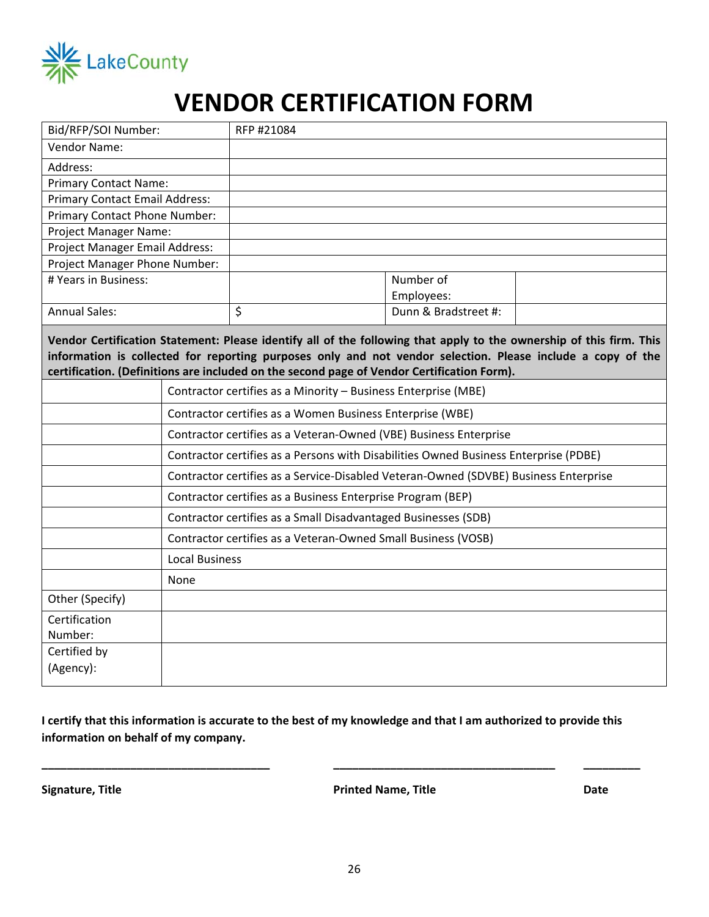

# **VENDOR CERTIFICATION FORM**

| Bid/RFP/SOI Number:                                                                                                                                                                                                                                                                                                              |      | RFP #21084                                                                           |                      |  |
|----------------------------------------------------------------------------------------------------------------------------------------------------------------------------------------------------------------------------------------------------------------------------------------------------------------------------------|------|--------------------------------------------------------------------------------------|----------------------|--|
| <b>Vendor Name:</b>                                                                                                                                                                                                                                                                                                              |      |                                                                                      |                      |  |
| Address:                                                                                                                                                                                                                                                                                                                         |      |                                                                                      |                      |  |
| <b>Primary Contact Name:</b>                                                                                                                                                                                                                                                                                                     |      |                                                                                      |                      |  |
| <b>Primary Contact Email Address:</b>                                                                                                                                                                                                                                                                                            |      |                                                                                      |                      |  |
| Primary Contact Phone Number:                                                                                                                                                                                                                                                                                                    |      |                                                                                      |                      |  |
| Project Manager Name:                                                                                                                                                                                                                                                                                                            |      |                                                                                      |                      |  |
| Project Manager Email Address:                                                                                                                                                                                                                                                                                                   |      |                                                                                      |                      |  |
| Project Manager Phone Number:                                                                                                                                                                                                                                                                                                    |      |                                                                                      |                      |  |
| # Years in Business:                                                                                                                                                                                                                                                                                                             |      |                                                                                      | Number of            |  |
|                                                                                                                                                                                                                                                                                                                                  |      | \$                                                                                   | Employees:           |  |
| <b>Annual Sales:</b>                                                                                                                                                                                                                                                                                                             |      |                                                                                      | Dunn & Bradstreet #: |  |
| Vendor Certification Statement: Please identify all of the following that apply to the ownership of this firm. This<br>information is collected for reporting purposes only and not vendor selection. Please include a copy of the<br>certification. (Definitions are included on the second page of Vendor Certification Form). |      |                                                                                      |                      |  |
|                                                                                                                                                                                                                                                                                                                                  |      | Contractor certifies as a Minority - Business Enterprise (MBE)                       |                      |  |
|                                                                                                                                                                                                                                                                                                                                  |      | Contractor certifies as a Women Business Enterprise (WBE)                            |                      |  |
|                                                                                                                                                                                                                                                                                                                                  |      | Contractor certifies as a Veteran-Owned (VBE) Business Enterprise                    |                      |  |
|                                                                                                                                                                                                                                                                                                                                  |      | Contractor certifies as a Persons with Disabilities Owned Business Enterprise (PDBE) |                      |  |
|                                                                                                                                                                                                                                                                                                                                  |      | Contractor certifies as a Service-Disabled Veteran-Owned (SDVBE) Business Enterprise |                      |  |
|                                                                                                                                                                                                                                                                                                                                  |      | Contractor certifies as a Business Enterprise Program (BEP)                          |                      |  |
| Contractor certifies as a Small Disadvantaged Businesses (SDB)                                                                                                                                                                                                                                                                   |      |                                                                                      |                      |  |
| Contractor certifies as a Veteran-Owned Small Business (VOSB)                                                                                                                                                                                                                                                                    |      |                                                                                      |                      |  |
| <b>Local Business</b>                                                                                                                                                                                                                                                                                                            |      |                                                                                      |                      |  |
|                                                                                                                                                                                                                                                                                                                                  | None |                                                                                      |                      |  |
| Other (Specify)                                                                                                                                                                                                                                                                                                                  |      |                                                                                      |                      |  |
| Certification                                                                                                                                                                                                                                                                                                                    |      |                                                                                      |                      |  |
| Number:                                                                                                                                                                                                                                                                                                                          |      |                                                                                      |                      |  |
| Certified by                                                                                                                                                                                                                                                                                                                     |      |                                                                                      |                      |  |
| (Agency):                                                                                                                                                                                                                                                                                                                        |      |                                                                                      |                      |  |

**I certify that this information is accurate to the best of my knowledge and that I am authorized to provide this information on behalf of my company.** 

**Signature, Title Printed Name, Title Date** 

**\_\_\_\_\_\_\_\_\_\_\_\_\_\_\_\_\_\_\_\_\_\_\_\_\_\_\_\_\_\_\_\_\_\_\_\_ \_\_\_\_\_\_\_\_\_\_\_\_\_\_\_\_\_\_\_\_\_\_\_\_\_\_\_\_\_\_\_\_\_\_\_ \_\_\_\_\_\_\_\_\_**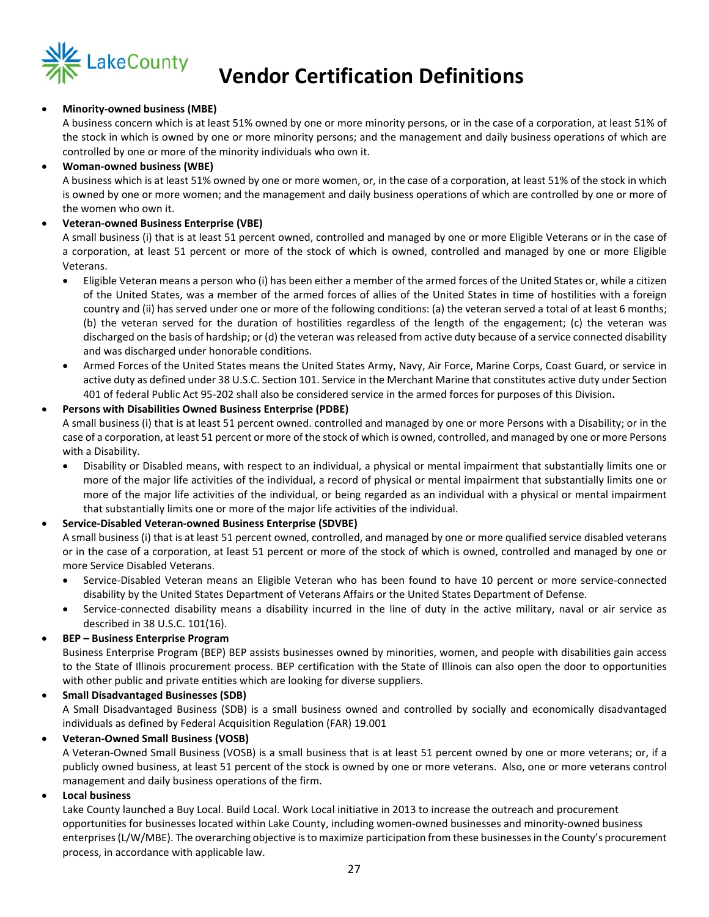

# **LakeCounty Vendor Certification Definitions**

#### **Minority‐owned business (MBE)**

A business concern which is at least 51% owned by one or more minority persons, or in the case of a corporation, at least 51% of the stock in which is owned by one or more minority persons; and the management and daily business operations of which are controlled by one or more of the minority individuals who own it.

#### **Woman‐owned business (WBE)**

A business which is at least 51% owned by one or more women, or, in the case of a corporation, at least 51% of the stock in which is owned by one or more women; and the management and daily business operations of which are controlled by one or more of the women who own it.

#### **Veteran‐owned Business Enterprise (VBE)**

A small business (i) that is at least 51 percent owned, controlled and managed by one or more Eligible Veterans or in the case of a corporation, at least 51 percent or more of the stock of which is owned, controlled and managed by one or more Eligible Veterans.

- Eligible Veteran means a person who (i) has been either a member of the armed forces of the United States or, while a citizen of the United States, was a member of the armed forces of allies of the United States in time of hostilities with a foreign country and (ii) has served under one or more of the following conditions: (a) the veteran served a total of at least 6 months; (b) the veteran served for the duration of hostilities regardless of the length of the engagement; (c) the veteran was discharged on the basis of hardship; or (d) the veteran was released from active duty because of a service connected disability and was discharged under honorable conditions.
- Armed Forces of the United States means the United States Army, Navy, Air Force, Marine Corps, Coast Guard, or service in active duty as defined under 38 U.S.C. Section 101. Service in the Merchant Marine that constitutes active duty under Section 401 of federal Public Act 95‐202 shall also be considered service in the armed forces for purposes of this Division**.**

#### **Persons with Disabilities Owned Business Enterprise (PDBE)**

A small business (i) that is at least 51 percent owned. controlled and managed by one or more Persons with a Disability; or in the case of a corporation, at least 51 percent or more of the stock of which is owned, controlled, and managed by one or more Persons with a Disability.

- Disability or Disabled means, with respect to an individual, a physical or mental impairment that substantially limits one or more of the major life activities of the individual, a record of physical or mental impairment that substantially limits one or more of the major life activities of the individual, or being regarded as an individual with a physical or mental impairment that substantially limits one or more of the major life activities of the individual.
- **Service‐Disabled Veteran‐owned Business Enterprise (SDVBE)**

A small business (i) that is at least 51 percent owned, controlled, and managed by one or more qualified service disabled veterans or in the case of a corporation, at least 51 percent or more of the stock of which is owned, controlled and managed by one or more Service Disabled Veterans.

- Service‐Disabled Veteran means an Eligible Veteran who has been found to have 10 percent or more service‐connected disability by the United States Department of Veterans Affairs or the United States Department of Defense.
- Service-connected disability means a disability incurred in the line of duty in the active military, naval or air service as described in 38 U.S.C. 101(16).

#### **BEP – Business Enterprise Program**

Business Enterprise Program (BEP) BEP assists businesses owned by minorities, women, and people with disabilities gain access to the State of Illinois procurement process. BEP certification with the State of Illinois can also open the door to opportunities with other public and private entities which are looking for diverse suppliers.

### **Small Disadvantaged Businesses (SDB)**

A Small Disadvantaged Business (SDB) is a small business owned and controlled by socially and economically disadvantaged individuals as defined by Federal Acquisition Regulation (FAR) 19.001

#### **Veteran‐Owned Small Business (VOSB)**

A Veteran‐Owned Small Business (VOSB) is a small business that is at least 51 percent owned by one or more veterans; or, if a publicly owned business, at least 51 percent of the stock is owned by one or more veterans. Also, one or more veterans control management and daily business operations of the firm.

#### **Local business**

Lake County launched a Buy Local. Build Local. Work Local initiative in 2013 to increase the outreach and procurement opportunities for businesses located within Lake County, including women‐owned businesses and minority‐owned business enterprises (L/W/MBE). The overarching objective is to maximize participation from these businesses in the County's procurement process, in accordance with applicable law.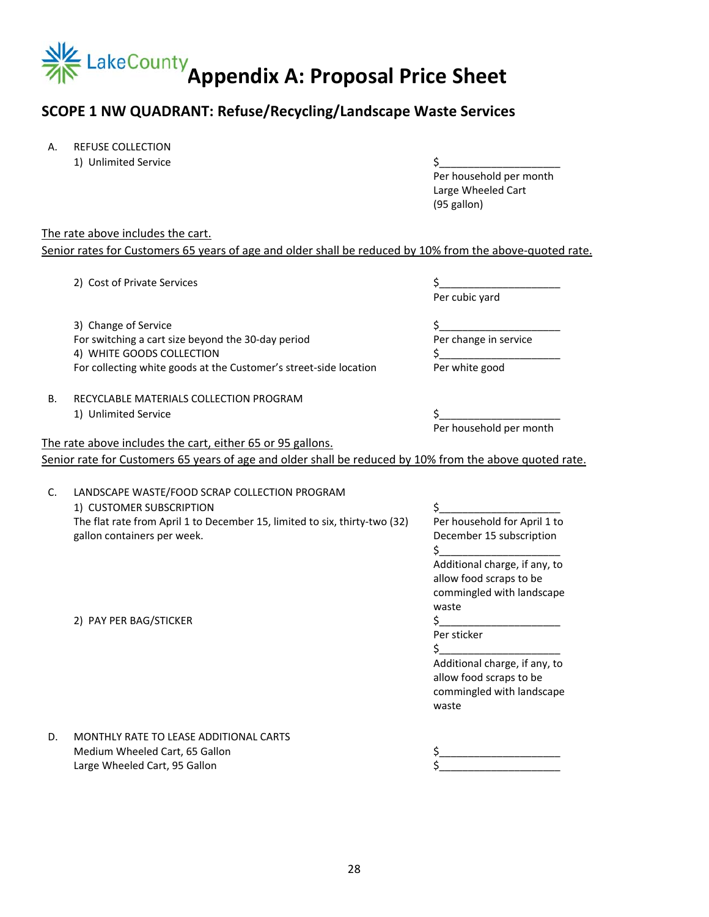

## **SCOPE 1 NW QUADRANT: Refuse/Recycling/Landscape Waste Services**

- A. REFUSE COLLECTION
	- 1) Unlimited Service  $\zeta$

 Per household per month Large Wheeled Cart (95 gallon)

#### The rate above includes the cart.

Senior rates for Customers 65 years of age and older shall be reduced by 10% from the above-quoted rate.

| 2) Cost of Private Services | Per cubic yard                                                                                                                                                                                                                                                                                                                                                                                                                                                                                                                                                                                                                               |
|-----------------------------|----------------------------------------------------------------------------------------------------------------------------------------------------------------------------------------------------------------------------------------------------------------------------------------------------------------------------------------------------------------------------------------------------------------------------------------------------------------------------------------------------------------------------------------------------------------------------------------------------------------------------------------------|
|                             |                                                                                                                                                                                                                                                                                                                                                                                                                                                                                                                                                                                                                                              |
|                             | \$                                                                                                                                                                                                                                                                                                                                                                                                                                                                                                                                                                                                                                           |
|                             | Per change in service                                                                                                                                                                                                                                                                                                                                                                                                                                                                                                                                                                                                                        |
|                             |                                                                                                                                                                                                                                                                                                                                                                                                                                                                                                                                                                                                                                              |
|                             | Per white good                                                                                                                                                                                                                                                                                                                                                                                                                                                                                                                                                                                                                               |
|                             |                                                                                                                                                                                                                                                                                                                                                                                                                                                                                                                                                                                                                                              |
|                             | Ś.                                                                                                                                                                                                                                                                                                                                                                                                                                                                                                                                                                                                                                           |
|                             | Per household per month                                                                                                                                                                                                                                                                                                                                                                                                                                                                                                                                                                                                                      |
|                             |                                                                                                                                                                                                                                                                                                                                                                                                                                                                                                                                                                                                                                              |
|                             |                                                                                                                                                                                                                                                                                                                                                                                                                                                                                                                                                                                                                                              |
|                             |                                                                                                                                                                                                                                                                                                                                                                                                                                                                                                                                                                                                                                              |
|                             |                                                                                                                                                                                                                                                                                                                                                                                                                                                                                                                                                                                                                                              |
|                             | \$                                                                                                                                                                                                                                                                                                                                                                                                                                                                                                                                                                                                                                           |
|                             | Per household for April 1 to                                                                                                                                                                                                                                                                                                                                                                                                                                                                                                                                                                                                                 |
|                             | December 15 subscription<br>Ś.                                                                                                                                                                                                                                                                                                                                                                                                                                                                                                                                                                                                               |
|                             | Additional charge, if any, to                                                                                                                                                                                                                                                                                                                                                                                                                                                                                                                                                                                                                |
|                             | allow food scraps to be                                                                                                                                                                                                                                                                                                                                                                                                                                                                                                                                                                                                                      |
|                             | commingled with landscape<br>waste                                                                                                                                                                                                                                                                                                                                                                                                                                                                                                                                                                                                           |
|                             |                                                                                                                                                                                                                                                                                                                                                                                                                                                                                                                                                                                                                                              |
|                             | Per sticker                                                                                                                                                                                                                                                                                                                                                                                                                                                                                                                                                                                                                                  |
|                             | Ś.                                                                                                                                                                                                                                                                                                                                                                                                                                                                                                                                                                                                                                           |
|                             | Additional charge, if any, to                                                                                                                                                                                                                                                                                                                                                                                                                                                                                                                                                                                                                |
|                             | allow food scraps to be                                                                                                                                                                                                                                                                                                                                                                                                                                                                                                                                                                                                                      |
|                             | commingled with landscape                                                                                                                                                                                                                                                                                                                                                                                                                                                                                                                                                                                                                    |
|                             |                                                                                                                                                                                                                                                                                                                                                                                                                                                                                                                                                                                                                                              |
|                             | 3) Change of Service<br>For switching a cart size beyond the 30-day period<br>4) WHITE GOODS COLLECTION<br>For collecting white goods at the Customer's street-side location<br>RECYCLABLE MATERIALS COLLECTION PROGRAM<br>1) Unlimited Service<br>The rate above includes the cart, either 65 or 95 gallons.<br>Senior rate for Customers 65 years of age and older shall be reduced by 10% from the above quoted rate.<br>LANDSCAPE WASTE/FOOD SCRAP COLLECTION PROGRAM<br>1) CUSTOMER SUBSCRIPTION<br>The flat rate from April 1 to December 15, limited to six, thirty-two (32)<br>gallon containers per week.<br>2) PAY PER BAG/STICKER |

D. MONTHLY RATE TO LEASE ADDITIONAL CARTS Medium Wheeled Cart, 65 Gallon **\$** Large Wheeled Cart, 95 Gallon

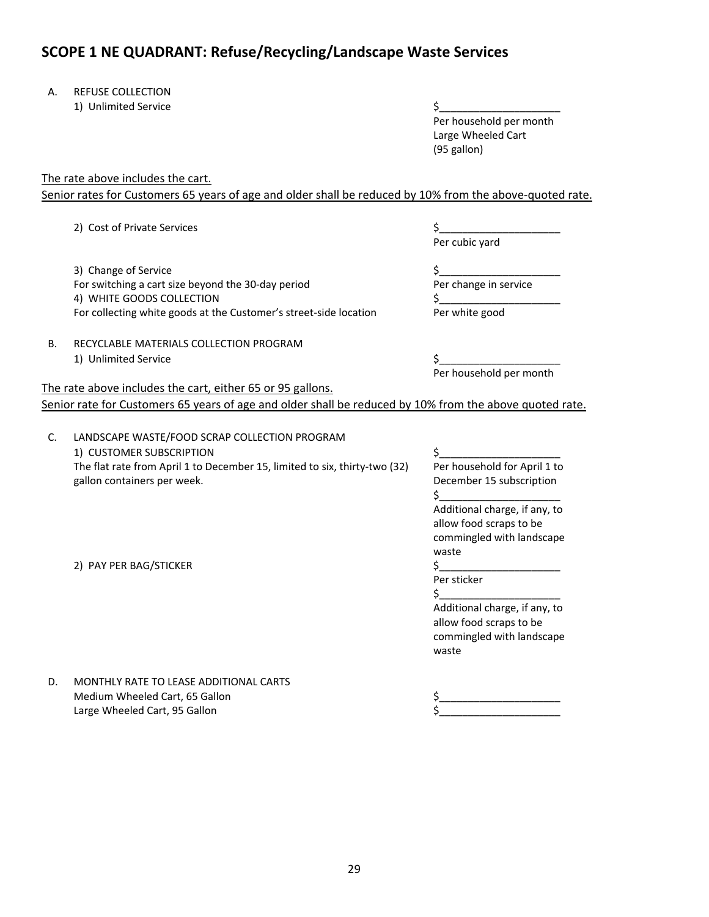## **SCOPE 1 NE QUADRANT: Refuse/Recycling/Landscape Waste Services**

#### A. REFUSE COLLECTION

| Unlimited Service<br>1) |  |
|-------------------------|--|
|                         |  |

 Per household per month Large Wheeled Cart (95 gallon)

The rate above includes the cart.

Senior rates for Customers 65 years of age and older shall be reduced by 10% from the above-quoted rate.

2) Cost of Private Services \$\_\_\_\_\_\_\_\_\_\_\_\_\_\_\_\_\_\_\_\_\_

 3) Change of Service For switching a cart size beyond the 30‐day period 4) WHITE GOODS COLLECTION For collecting white goods at the Customer's street‐side location Per cubic yard

\$\_\_\_\_\_\_\_\_\_\_\_\_\_\_\_\_\_\_\_\_\_ Per change in service  $\zeta$ Per white good

## B. RECYCLABLE MATERIALS COLLECTION PROGRAM

#### 1) Unlimited Service  $\zeta$

Per household per month

The rate above includes the cart, either 65 or 95 gallons.

Senior rate for Customers 65 years of age and older shall be reduced by 10% from the above quoted rate.

| C. | LANDSCAPE WASTE/FOOD SCRAP COLLECTION PROGRAM<br>1) CUSTOMER SUBSCRIPTION                                 |                                                                                       |
|----|-----------------------------------------------------------------------------------------------------------|---------------------------------------------------------------------------------------|
|    | The flat rate from April 1 to December 15, limited to six, thirty-two (32)<br>gallon containers per week. | Per household for April 1 to<br>December 15 subscription                              |
|    |                                                                                                           | Additional charge, if any, to                                                         |
|    |                                                                                                           | allow food scraps to be                                                               |
|    |                                                                                                           | commingled with landscape                                                             |
|    |                                                                                                           | waste                                                                                 |
|    | 2) PAY PER BAG/STICKER                                                                                    |                                                                                       |
|    |                                                                                                           | Per sticker                                                                           |
|    |                                                                                                           |                                                                                       |
|    |                                                                                                           | Additional charge, if any, to<br>allow food scraps to be<br>commingled with landscape |
|    |                                                                                                           | waste                                                                                 |
| D. | MONTHLY RATE TO LEASE ADDITIONAL CARTS                                                                    |                                                                                       |
|    | Medium Wheeled Cart, 65 Gallon                                                                            |                                                                                       |

Large Wheeled Cart, 95 Gallon  $\zeta$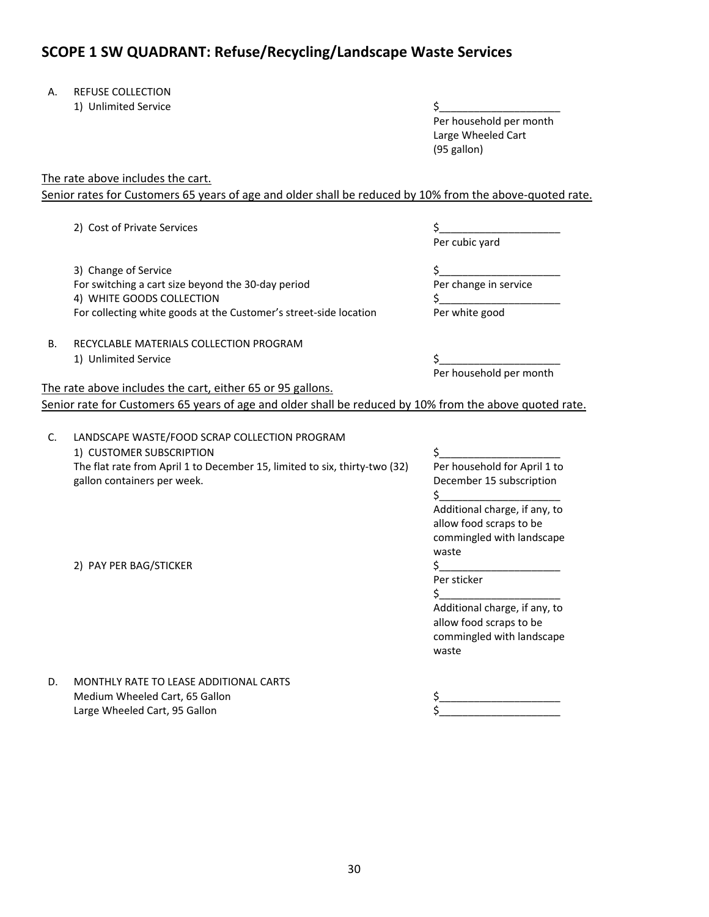## **SCOPE 1 SW QUADRANT: Refuse/Recycling/Landscape Waste Services**

#### A. REFUSE COLLECTION

| Unlimited Service<br>1) |  |
|-------------------------|--|
|                         |  |

 Per household per month Large Wheeled Cart (95 gallon)

The rate above includes the cart.

Senior rates for Customers 65 years of age and older shall be reduced by 10% from the above-quoted rate.

2) Cost of Private Services \$\_\_\_\_\_\_\_\_\_\_\_\_\_\_\_\_\_\_\_\_\_

 3) Change of Service For switching a cart size beyond the 30‐day period 4) WHITE GOODS COLLECTION For collecting white goods at the Customer's street‐side location Per cubic yard

\$\_\_\_\_\_\_\_\_\_\_\_\_\_\_\_\_\_\_\_\_\_ Per change in service  $\zeta$ Per white good

## B. RECYCLABLE MATERIALS COLLECTION PROGRAM

#### 1) Unlimited Service  $\zeta$

Per household per month

The rate above includes the cart, either 65 or 95 gallons.

Senior rate for Customers 65 years of age and older shall be reduced by 10% from the above quoted rate.

| C. | LANDSCAPE WASTE/FOOD SCRAP COLLECTION PROGRAM<br>1) CUSTOMER SUBSCRIPTION                                 |                                                                                                |
|----|-----------------------------------------------------------------------------------------------------------|------------------------------------------------------------------------------------------------|
|    | The flat rate from April 1 to December 15, limited to six, thirty-two (32)<br>gallon containers per week. | Per household for April 1 to<br>December 15 subscription                                       |
|    |                                                                                                           | Additional charge, if any, to<br>allow food scraps to be<br>commingled with landscape<br>waste |
|    | 2) PAY PER BAG/STICKER                                                                                    | Per sticker                                                                                    |
|    |                                                                                                           | Additional charge, if any, to<br>allow food scraps to be<br>commingled with landscape<br>waste |
| D. | MONTHLY RATE TO LEASE ADDITIONAL CARTS                                                                    |                                                                                                |
|    | Medium Wheeled Cart, 65 Gallon                                                                            |                                                                                                |

Large Wheeled Cart, 95 Gallon  $\zeta$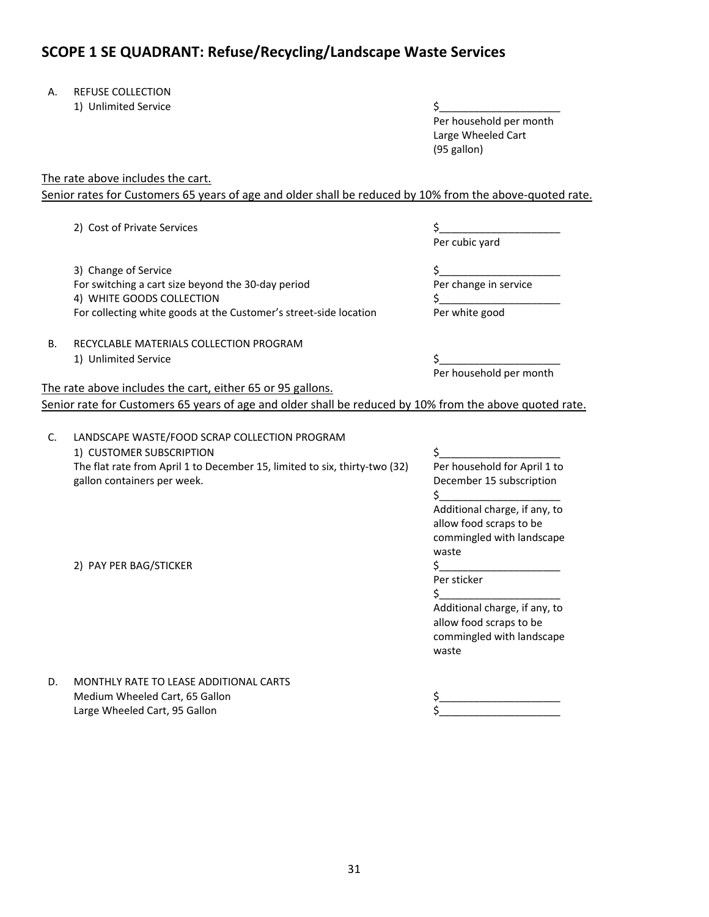## **SCOPE 1 SE QUADRANT: Refuse/Recycling/Landscape Waste Services**

#### A. REFUSE COLLECTION

| Unlimited Service<br>1) |  |
|-------------------------|--|
|                         |  |

 Per household per month Large Wheeled Cart (95 gallon)

The rate above includes the cart.

Senior rates for Customers 65 years of age and older shall be reduced by 10% from the above-quoted rate.

2) Cost of Private Services \$\_\_\_\_\_\_\_\_\_\_\_\_\_\_\_\_\_\_\_\_\_

 3) Change of Service For switching a cart size beyond the 30‐day period 4) WHITE GOODS COLLECTION For collecting white goods at the Customer's street‐side location Per cubic yard

\$\_\_\_\_\_\_\_\_\_\_\_\_\_\_\_\_\_\_\_\_\_ Per change in service  $\zeta$ Per white good

## B. RECYCLABLE MATERIALS COLLECTION PROGRAM

#### 1) Unlimited Service  $\zeta$

Per household per month

The rate above includes the cart, either 65 or 95 gallons.

Senior rate for Customers 65 years of age and older shall be reduced by 10% from the above quoted rate.

| C. | LANDSCAPE WASTE/FOOD SCRAP COLLECTION PROGRAM<br>1) CUSTOMER SUBSCRIPTION                                 |                                                                                       |
|----|-----------------------------------------------------------------------------------------------------------|---------------------------------------------------------------------------------------|
|    | The flat rate from April 1 to December 15, limited to six, thirty-two (32)<br>gallon containers per week. | Per household for April 1 to<br>December 15 subscription                              |
|    |                                                                                                           | Additional charge, if any, to                                                         |
|    |                                                                                                           | allow food scraps to be                                                               |
|    |                                                                                                           | commingled with landscape<br>waste                                                    |
|    | 2) PAY PER BAG/STICKER                                                                                    |                                                                                       |
|    |                                                                                                           | Per sticker                                                                           |
|    |                                                                                                           |                                                                                       |
|    |                                                                                                           | Additional charge, if any, to<br>allow food scraps to be<br>commingled with landscape |
|    |                                                                                                           | waste                                                                                 |
| D. | MONTHLY RATE TO LEASE ADDITIONAL CARTS                                                                    |                                                                                       |
|    | Medium Wheeled Cart, 65 Gallon                                                                            |                                                                                       |

Large Wheeled Cart, 95 Gallon  $\zeta$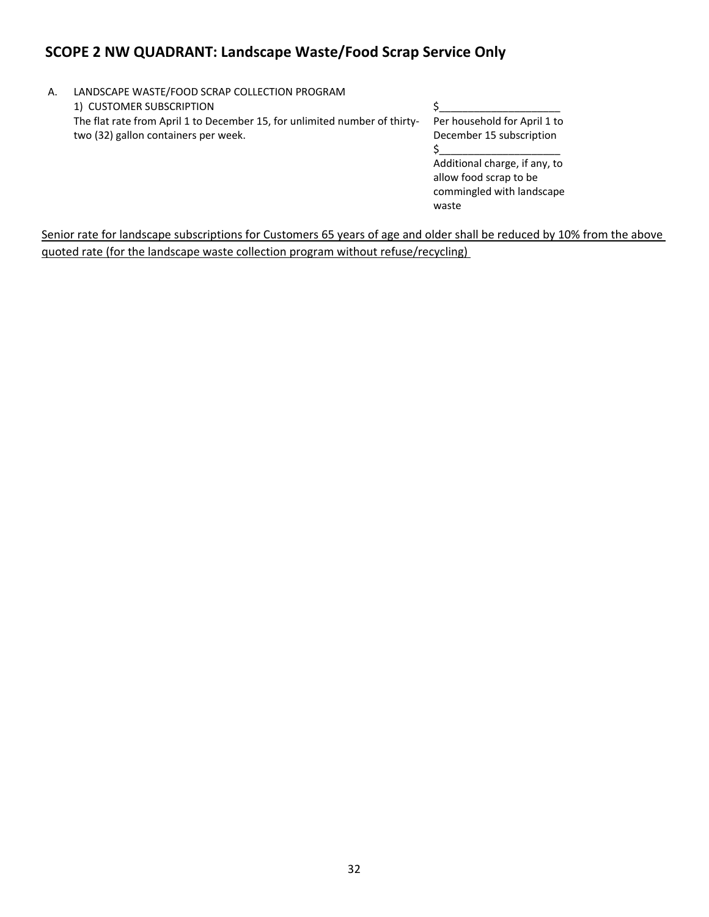## **SCOPE 2 NW QUADRANT: Landscape Waste/Food Scrap Service Only**

| A. | LANDSCAPE WASTE/FOOD SCRAP COLLECTION PROGRAM                              |                               |
|----|----------------------------------------------------------------------------|-------------------------------|
|    | 1) CUSTOMER SUBSCRIPTION                                                   |                               |
|    | The flat rate from April 1 to December 15, for unlimited number of thirty- | Per household for April 1 to  |
|    | two (32) gallon containers per week.                                       | December 15 subscription      |
|    |                                                                            |                               |
|    |                                                                            | Additional charge, if any, to |
|    |                                                                            | allow food scrap to be        |

Senior rate for landscape subscriptions for Customers 65 years of age and older shall be reduced by 10% from the above quoted rate (for the landscape waste collection program without refuse/recycling)

commingled with landscape

waste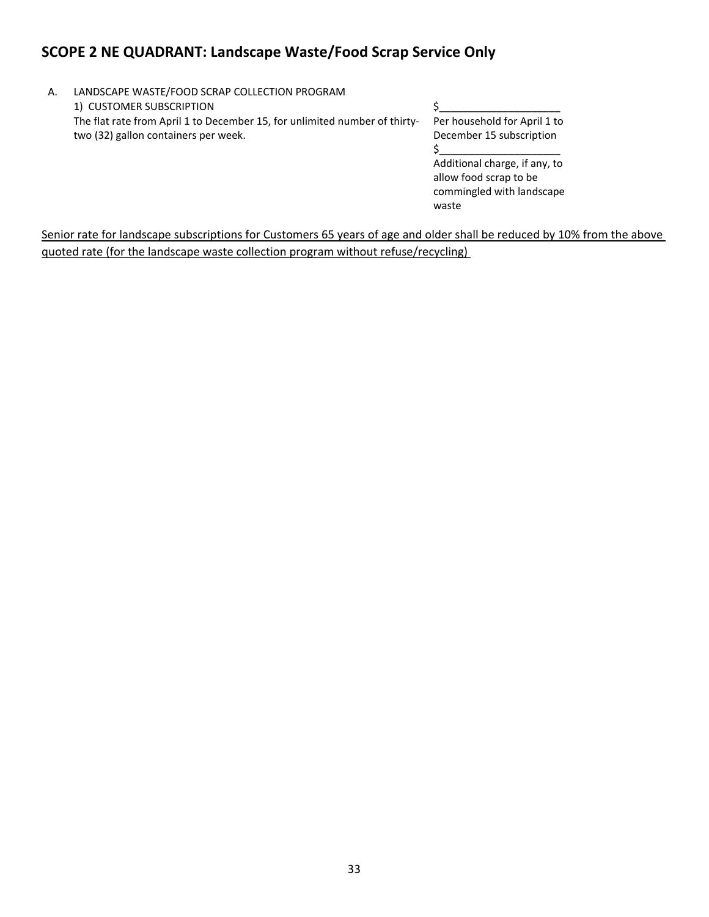## **SCOPE 2 NE QUADRANT: Landscape Waste/Food Scrap Service Only**

A. LANDSCAPE WASTE/FOOD SCRAP COLLECTION PROGRAM 1) CUSTOMER SUBSCRIPTION S The flat rate from April 1 to December 15, for unlimited number of thirty‐ two (32) gallon containers per week. Per household for April 1 to December 15 subscription  $$_{\text{}}$ Additional charge, if any, to allow food scrap to be

Senior rate for landscape subscriptions for Customers 65 years of age and older shall be reduced by 10% from the above quoted rate (for the landscape waste collection program without refuse/recycling)

commingled with landscape

waste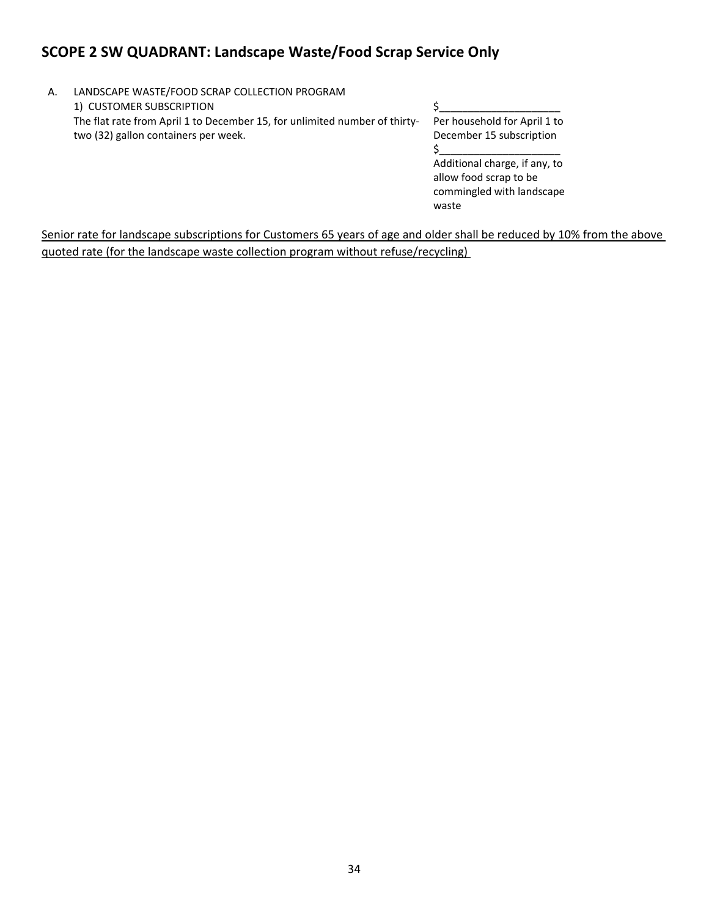## **SCOPE 2 SW QUADRANT: Landscape Waste/Food Scrap Service Only**

| Α. | LANDSCAPE WASTE/FOOD SCRAP COLLECTION PROGRAM                              |                               |
|----|----------------------------------------------------------------------------|-------------------------------|
|    | 1) CUSTOMER SUBSCRIPTION                                                   |                               |
|    | The flat rate from April 1 to December 15, for unlimited number of thirty- | Per household for April 1 to  |
|    | two (32) gallon containers per week.                                       | December 15 subscription      |
|    |                                                                            |                               |
|    |                                                                            | Additional charge, if any, to |
|    |                                                                            | allow food scrap to be        |

Senior rate for landscape subscriptions for Customers 65 years of age and older shall be reduced by 10% from the above quoted rate (for the landscape waste collection program without refuse/recycling)

commingled with landscape

waste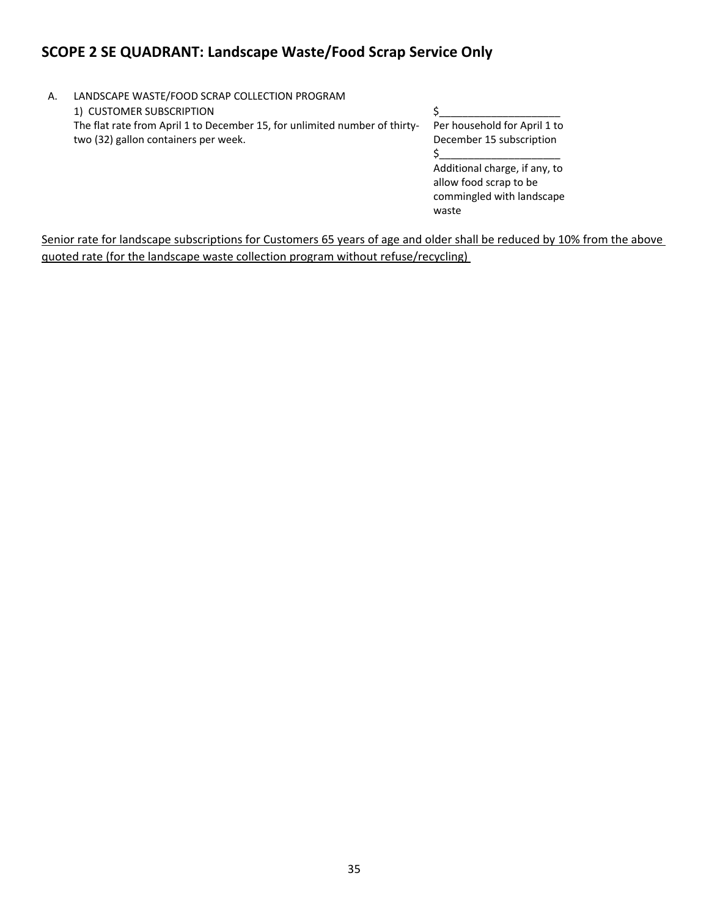## **SCOPE 2 SE QUADRANT: Landscape Waste/Food Scrap Service Only**

A. LANDSCAPE WASTE/FOOD SCRAP COLLECTION PROGRAM 1) CUSTOMER SUBSCRIPTION  $\zeta$ The flat rate from April 1 to December 15, for unlimited number of thirtytwo (32) gallon containers per week.

Per household for April 1 to December 15 subscription  $$_{\text{}}$ Additional charge, if any, to allow food scrap to be commingled with landscape waste

Senior rate for landscape subscriptions for Customers 65 years of age and older shall be reduced by 10% from the above quoted rate (for the landscape waste collection program without refuse/recycling)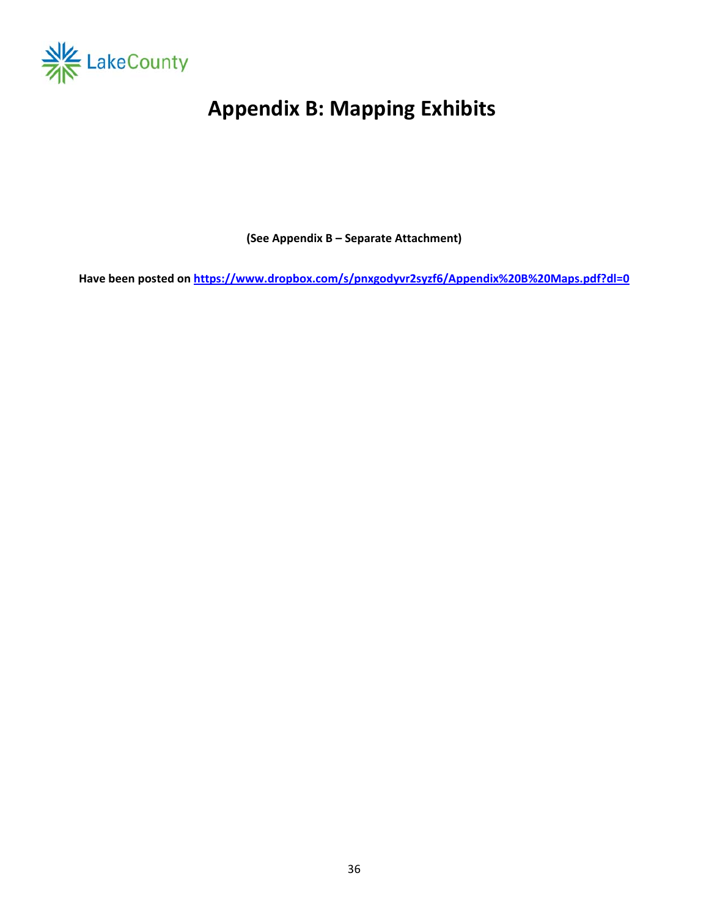

# **Appendix B: Mapping Exhibits**

**(See Appendix B – Separate Attachment)** 

Have been posted on https://www.dropbox.com/s/pnxgodyvr2syzf6/Appendix%20B%20Maps.pdf?dl=0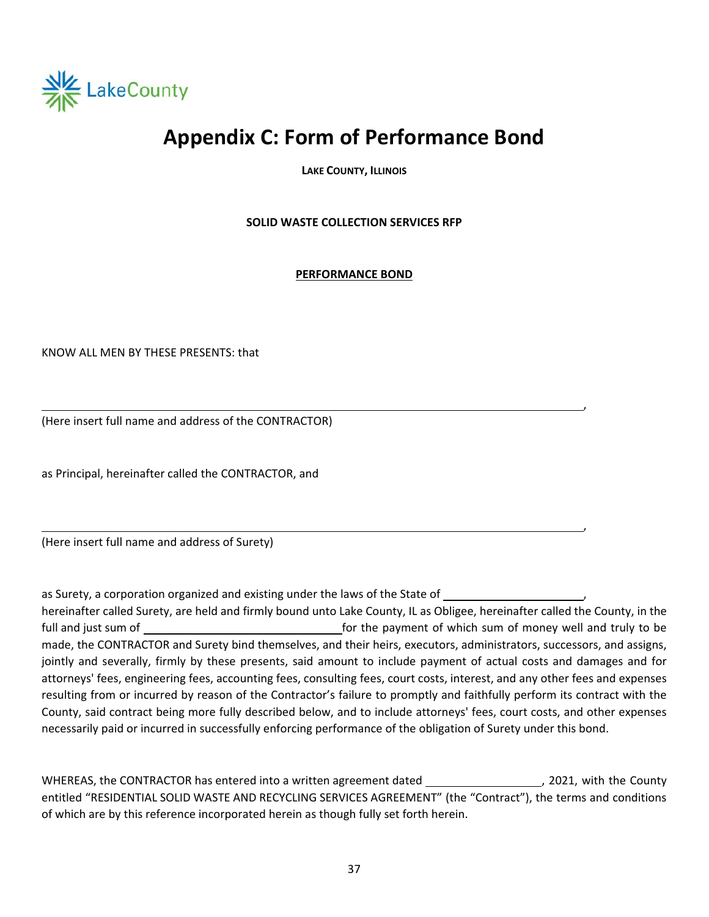

## **Appendix C: Form of Performance Bond**

**LAKE COUNTY, ILLINOIS** 

**SOLID WASTE COLLECTION SERVICES RFP** 

**PERFORMANCE BOND**

,

, where the contract of the contract of the contract of the contract of the contract of the contract of the contract of the contract of the contract of the contract of the contract of the contract of the contract of the c

KNOW ALL MEN BY THESE PRESENTS: that

(Here insert full name and address of the CONTRACTOR)

as Principal, hereinafter called the CONTRACTOR, and

(Here insert full name and address of Surety)

as Surety, a corporation organized and existing under the laws of the State of

hereinafter called Surety, are held and firmly bound unto Lake County, IL as Obligee, hereinafter called the County, in the full and just sum of *be sum of* the payment of which sum of money well and truly to be made, the CONTRACTOR and Surety bind themselves, and their heirs, executors, administrators, successors, and assigns, jointly and severally, firmly by these presents, said amount to include payment of actual costs and damages and for attorneys' fees, engineering fees, accounting fees, consulting fees, court costs, interest, and any other fees and expenses resulting from or incurred by reason of the Contractor's failure to promptly and faithfully perform its contract with the County, said contract being more fully described below, and to include attorneys' fees, court costs, and other expenses necessarily paid or incurred in successfully enforcing performance of the obligation of Surety under this bond.

WHEREAS, the CONTRACTOR has entered into a written agreement dated \_\_\_\_\_\_\_\_\_\_\_\_\_\_\_\_\_\_\_\_\_, 2021, with the County entitled "RESIDENTIAL SOLID WASTE AND RECYCLING SERVICES AGREEMENT" (the "Contract"), the terms and conditions of which are by this reference incorporated herein as though fully set forth herein.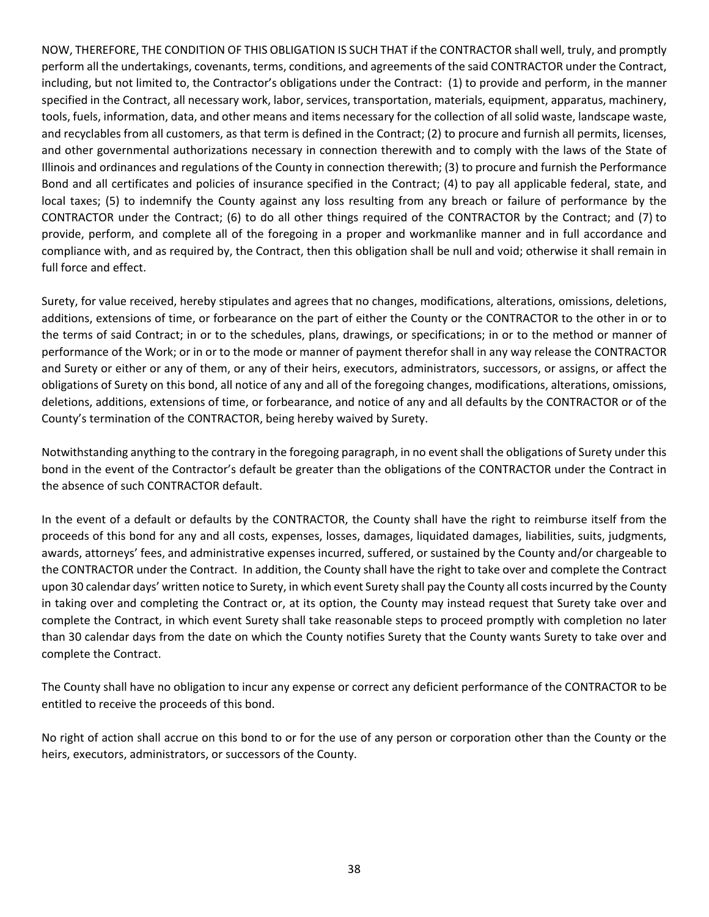NOW, THEREFORE, THE CONDITION OF THIS OBLIGATION IS SUCH THAT if the CONTRACTOR shall well, truly, and promptly perform all the undertakings, covenants, terms, conditions, and agreements of the said CONTRACTOR under the Contract, including, but not limited to, the Contractor's obligations under the Contract: (1) to provide and perform, in the manner specified in the Contract, all necessary work, labor, services, transportation, materials, equipment, apparatus, machinery, tools, fuels, information, data, and other means and items necessary for the collection of all solid waste, landscape waste, and recyclables from all customers, as that term is defined in the Contract; (2) to procure and furnish all permits, licenses, and other governmental authorizations necessary in connection therewith and to comply with the laws of the State of Illinois and ordinances and regulations of the County in connection therewith; (3) to procure and furnish the Performance Bond and all certificates and policies of insurance specified in the Contract; (4) to pay all applicable federal, state, and local taxes; (5) to indemnify the County against any loss resulting from any breach or failure of performance by the CONTRACTOR under the Contract; (6) to do all other things required of the CONTRACTOR by the Contract; and (7) to provide, perform, and complete all of the foregoing in a proper and workmanlike manner and in full accordance and compliance with, and as required by, the Contract, then this obligation shall be null and void; otherwise it shall remain in full force and effect.

Surety, for value received, hereby stipulates and agrees that no changes, modifications, alterations, omissions, deletions, additions, extensions of time, or forbearance on the part of either the County or the CONTRACTOR to the other in or to the terms of said Contract; in or to the schedules, plans, drawings, or specifications; in or to the method or manner of performance of the Work; or in or to the mode or manner of payment therefor shall in any way release the CONTRACTOR and Surety or either or any of them, or any of their heirs, executors, administrators, successors, or assigns, or affect the obligations of Surety on this bond, all notice of any and all of the foregoing changes, modifications, alterations, omissions, deletions, additions, extensions of time, or forbearance, and notice of any and all defaults by the CONTRACTOR or of the County's termination of the CONTRACTOR, being hereby waived by Surety.

Notwithstanding anything to the contrary in the foregoing paragraph, in no event shall the obligations of Surety under this bond in the event of the Contractor's default be greater than the obligations of the CONTRACTOR under the Contract in the absence of such CONTRACTOR default.

In the event of a default or defaults by the CONTRACTOR, the County shall have the right to reimburse itself from the proceeds of this bond for any and all costs, expenses, losses, damages, liquidated damages, liabilities, suits, judgments, awards, attorneys' fees, and administrative expenses incurred, suffered, or sustained by the County and/or chargeable to the CONTRACTOR under the Contract. In addition, the County shall have the right to take over and complete the Contract upon 30 calendar days' written notice to Surety, in which event Surety shall pay the County all costs incurred by the County in taking over and completing the Contract or, at its option, the County may instead request that Surety take over and complete the Contract, in which event Surety shall take reasonable steps to proceed promptly with completion no later than 30 calendar days from the date on which the County notifies Surety that the County wants Surety to take over and complete the Contract.

The County shall have no obligation to incur any expense or correct any deficient performance of the CONTRACTOR to be entitled to receive the proceeds of this bond.

No right of action shall accrue on this bond to or for the use of any person or corporation other than the County or the heirs, executors, administrators, or successors of the County.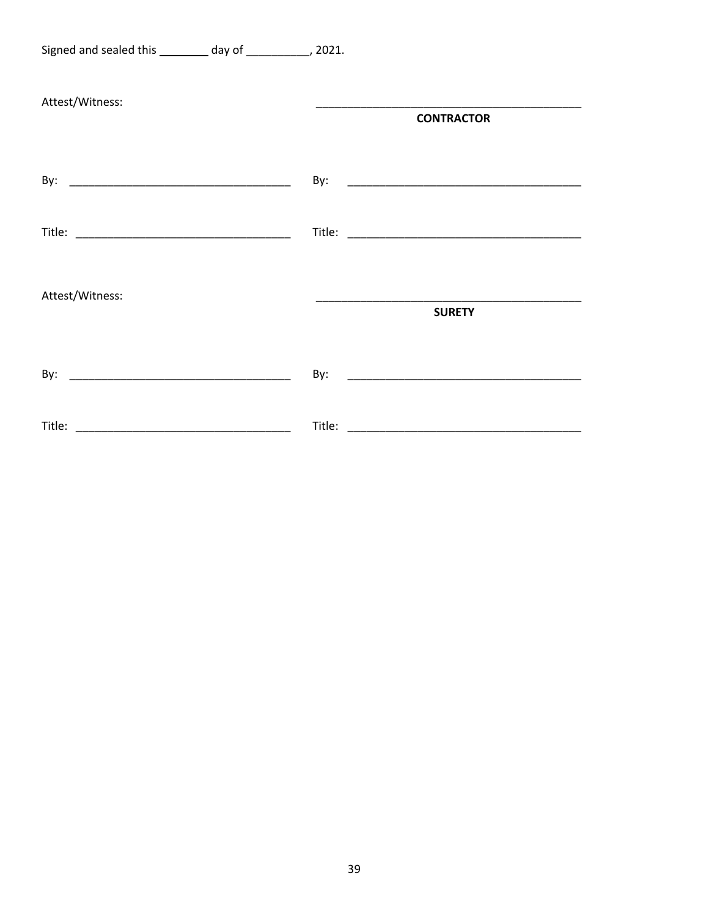| Signed and sealed this ________ day of ___________, 2021. |                   |
|-----------------------------------------------------------|-------------------|
| Attest/Witness:                                           | <b>CONTRACTOR</b> |
|                                                           |                   |
|                                                           |                   |
| Attest/Witness:                                           | <b>SURETY</b>     |
|                                                           | By:               |
|                                                           |                   |